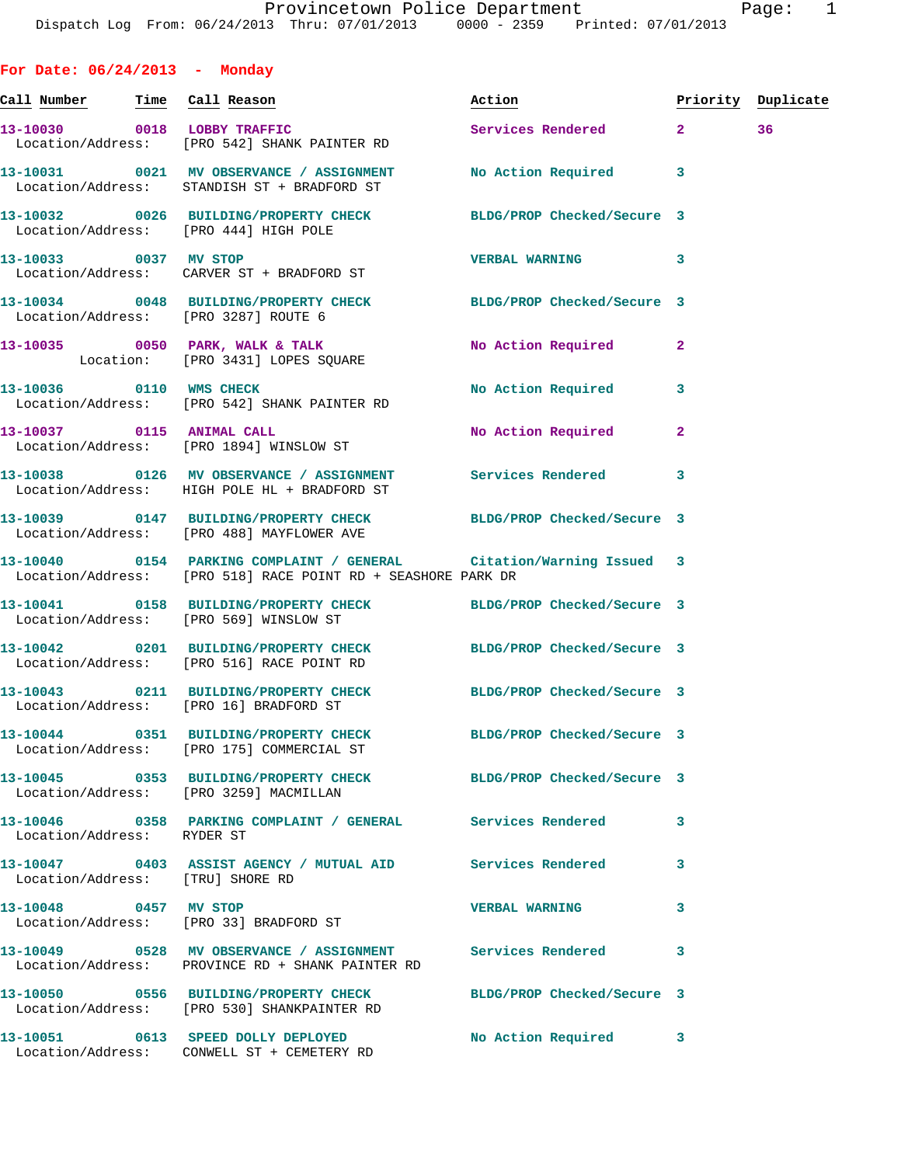**For Date: 06/24/2013 - Monday**

| <u>Call Number — Time Call Reason</u> |                                                                                                                                           | Action                    |                | Priority Duplicate |
|---------------------------------------|-------------------------------------------------------------------------------------------------------------------------------------------|---------------------------|----------------|--------------------|
| 13-10030 0018 LOBBY TRAFFIC           | Location/Address: [PRO 542] SHANK PAINTER RD                                                                                              | Services Rendered 2       |                | 36                 |
|                                       | 13-10031 0021 MV OBSERVANCE / ASSIGNMENT<br>Location/Address: STANDISH ST + BRADFORD ST                                                   | No Action Required 3      |                |                    |
|                                       | 13-10032 0026 BUILDING/PROPERTY CHECK BLDG/PROP Checked/Secure 3<br>Location/Address: [PRO 444] HIGH POLE                                 |                           |                |                    |
|                                       | 13-10033 0037 MV STOP<br>Location/Address: CARVER ST + BRADFORD ST                                                                        | <b>VERBAL WARNING</b>     | 3              |                    |
|                                       | 13-10034 0048 BUILDING/PROPERTY CHECK BLDG/PROP Checked/Secure 3<br>Location/Address: [PRO 3287] ROUTE 6                                  |                           |                |                    |
|                                       | 13-10035 0050 PARK, WALK & TALK<br>Location: [PRO 3431] LOPES SQUARE                                                                      | <b>No Action Required</b> | $\mathbf{2}$   |                    |
|                                       | 13-10036 0110 WMS CHECK<br>Location/Address: [PRO 542] SHANK PAINTER RD                                                                   | No Action Required        | 3              |                    |
|                                       | 13-10037 0115 ANIMAL CALL<br>Location/Address: [PRO 1894] WINSLOW ST                                                                      | No Action Required        | $\overline{a}$ |                    |
|                                       | 13-10038 0126 MV OBSERVANCE / ASSIGNMENT Services Rendered<br>Location/Address: HIGH POLE HL + BRADFORD ST                                |                           | 3              |                    |
|                                       | 13-10039 0147 BUILDING/PROPERTY CHECK BLDG/PROP Checked/Secure 3<br>Location/Address: [PRO 488] MAYFLOWER AVE                             |                           |                |                    |
|                                       | 13-10040   0154   PARKING COMPLAINT / GENERAL   Citation/Warning Issued 3<br>Location/Address: [PRO 518] RACE POINT RD + SEASHORE PARK DR |                           |                |                    |
|                                       | 13-10041 0158 BUILDING/PROPERTY CHECK BLDG/PROP Checked/Secure 3<br>Location/Address: [PRO 569] WINSLOW ST                                |                           |                |                    |
|                                       | 13-10042 0201 BUILDING/PROPERTY CHECK BLDG/PROP Checked/Secure 3<br>Location/Address: [PRO 516] RACE POINT RD                             |                           |                |                    |
|                                       | 13-10043 0211 BUILDING/PROPERTY CHECK BLDG/PROP Checked/Secure 3<br>Location/Address: [PRO 16] BRADFORD ST                                |                           |                |                    |
|                                       | 13-10044 0351 BUILDING/PROPERTY CHECK BLDG/PROP Checked/Secure 3<br>Location/Address: [PRO 175] COMMERCIAL ST                             |                           |                |                    |
|                                       | 13-10045 0353 BUILDING/PROPERTY CHECK BLDG/PROP Checked/Secure 3<br>Location/Address: [PRO 3259] MACMILLAN                                |                           |                |                    |
| Location/Address: RYDER ST            | 13-10046 0358 PARKING COMPLAINT / GENERAL Services Rendered                                                                               |                           | 3              |                    |
| Location/Address: [TRU] SHORE RD      | 13-10047 0403 ASSIST AGENCY / MUTUAL AID Services Rendered                                                                                |                           | 3              |                    |
|                                       | 13-10048 0457 MV STOP<br>Location/Address: [PRO 33] BRADFORD ST                                                                           | <b>VERBAL WARNING</b>     | 3              |                    |
|                                       | 13-10049 0528 MV OBSERVANCE / ASSIGNMENT Services Rendered<br>Location/Address: PROVINCE RD + SHANK PAINTER RD                            |                           | 3              |                    |
|                                       | 13-10050 0556 BUILDING/PROPERTY CHECK BLDG/PROP Checked/Secure 3<br>Location/Address: [PRO 530] SHANKPAINTER RD                           |                           |                |                    |
|                                       | 13-10051 0613 SPEED DOLLY DEPLOYED<br>Location/Address: CONWELL ST + CEMETERY RD                                                          | No Action Required 3      |                |                    |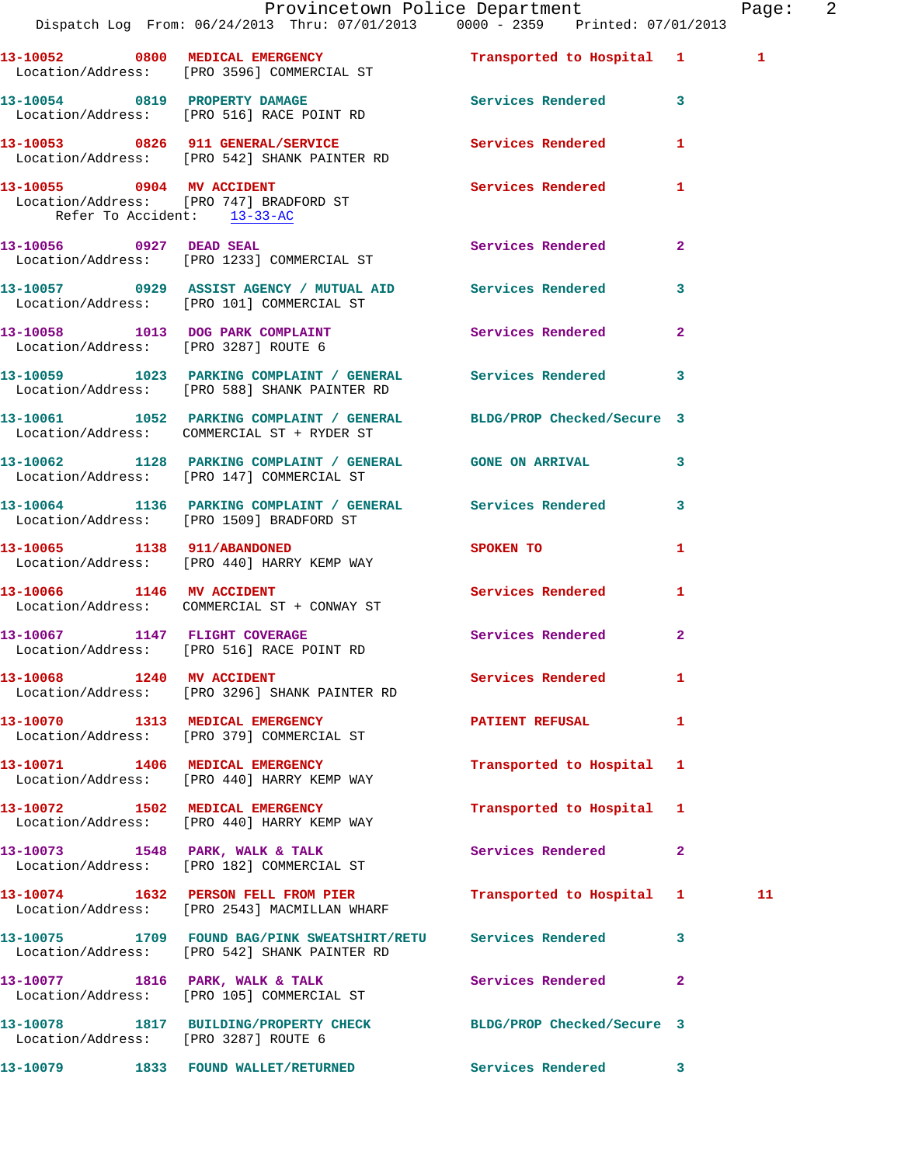|                                      | Provincetown Police Department<br>Dispatch Log From: 06/24/2013 Thru: 07/01/2013 0000 - 2359 Printed: 07/01/2013                          |                                                                                                                |              | Page: 2 |  |
|--------------------------------------|-------------------------------------------------------------------------------------------------------------------------------------------|----------------------------------------------------------------------------------------------------------------|--------------|---------|--|
|                                      | 13-10052 0800 MEDICAL EMERGENCY<br>Location/Address: [PRO 3596] COMMERCIAL ST                                                             | Transported to Hospital 1 1                                                                                    |              |         |  |
|                                      | 13-10054 0819 PROPERTY DAMAGE Services Rendered 3<br>Location/Address: [PRO 516] RACE POINT RD                                            |                                                                                                                |              |         |  |
|                                      | 13-10053 0826 911 GENERAL/SERVICE                         Services Rendered         1<br>Location/Address:     [PRO 542] SHANK PAINTER RD |                                                                                                                |              |         |  |
| Refer To Accident: 13-33-AC          | 13-10055 0904 MV ACCIDENT<br>Location/Address: [PRO 747] BRADFORD ST                                                                      | Services Rendered 1                                                                                            |              |         |  |
|                                      | 13-10056 0927 DEAD SEAL SERIES Services Rendered 2<br>Location/Address: [PRO 1233] COMMERCIAL ST                                          |                                                                                                                |              |         |  |
|                                      | 13-10057 0929 ASSIST AGENCY / MUTUAL AID Services Rendered 3<br>Location/Address: [PRO 101] COMMERCIAL ST                                 |                                                                                                                |              |         |  |
|                                      | 13-10058 1013 DOG PARK COMPLAINT Services Rendered 2<br>Location/Address: [PRO 3287] ROUTE 6                                              |                                                                                                                |              |         |  |
|                                      | 13-10059 1023 PARKING COMPLAINT / GENERAL Services Rendered 3<br>Location/Address: [PRO 588] SHANK PAINTER RD                             |                                                                                                                |              |         |  |
|                                      | 13-10061 1052 PARKING COMPLAINT / GENERAL BLDG/PROP Checked/Secure 3<br>Location/Address: COMMERCIAL ST + RYDER ST                        |                                                                                                                |              |         |  |
|                                      | 13-10062 1128 PARKING COMPLAINT / GENERAL GONE ON ARRIVAL 3<br>Location/Address: [PRO 147] COMMERCIAL ST                                  |                                                                                                                |              |         |  |
|                                      | 13-10064 1136 PARKING COMPLAINT / GENERAL Services Rendered 3<br>Location/Address: [PRO 1509] BRADFORD ST                                 |                                                                                                                |              |         |  |
|                                      | 13-10065 1138 911/ABANDONED<br>Location/Address: [PRO 440] HARRY KEMP WAY                                                                 | SPOKEN TO THE STATE OF THE STATE OF THE STATE OF THE STATE OF THE STATE OF THE STATE OF THE STATE OF THE STATE | 1            |         |  |
|                                      | 13-10066 1146 MV ACCIDENT<br>Location/Address: COMMERCIAL ST + CONWAY ST                                                                  | <b>Services Rendered</b>                                                                                       | $\mathbf{1}$ |         |  |
|                                      | 13-10067 1147 FLIGHT COVERAGE<br>Location/Address: [PRO 516] RACE POINT RD                                                                | Services Rendered 2                                                                                            |              |         |  |
|                                      | 13-10068 1240 MV ACCIDENT<br>Location/Address: [PRO 3296] SHANK PAINTER RD                                                                | Services Rendered 1                                                                                            |              |         |  |
|                                      | 13-10070 1313 MEDICAL EMERGENCY<br>Location/Address: [PRO 379] COMMERCIAL ST                                                              | <b>PATIENT REFUSAL</b>                                                                                         | $\mathbf{1}$ |         |  |
|                                      | 13-10071 1406 MEDICAL EMERGENCY<br>Location/Address: [PRO 440] HARRY KEMP WAY                                                             | Transported to Hospital 1                                                                                      |              |         |  |
|                                      | 13-10072 1502 MEDICAL EMERGENCY<br>Location/Address: [PRO 440] HARRY KEMP WAY                                                             | Transported to Hospital 1                                                                                      |              |         |  |
|                                      | 13-10073 1548 PARK, WALK & TALK<br>Location/Address: [PRO 182] COMMERCIAL ST                                                              | Services Rendered 2                                                                                            |              |         |  |
|                                      | 13-10074 1632 PERSON FELL FROM PIER<br>Location/Address: [PRO 2543] MACMILLAN WHARF                                                       | Transported to Hospital 1                                                                                      |              | 11      |  |
|                                      | 13-10075 1709 FOUND BAG/PINK SWEATSHIRT/RETU Services Rendered<br>Location/Address: [PRO 542] SHANK PAINTER RD                            |                                                                                                                | $\mathbf{3}$ |         |  |
|                                      | 13-10077 1816 PARK, WALK & TALK<br>Location/Address: [PRO 105] COMMERCIAL ST                                                              | Services Rendered                                                                                              | $\mathbf{2}$ |         |  |
| Location/Address: [PRO 3287] ROUTE 6 | 13-10078 1817 BUILDING/PROPERTY CHECK BLDG/PROP Checked/Secure 3                                                                          |                                                                                                                |              |         |  |
|                                      | 13-10079 1833 FOUND WALLET/RETURNED Services Rendered 3                                                                                   |                                                                                                                |              |         |  |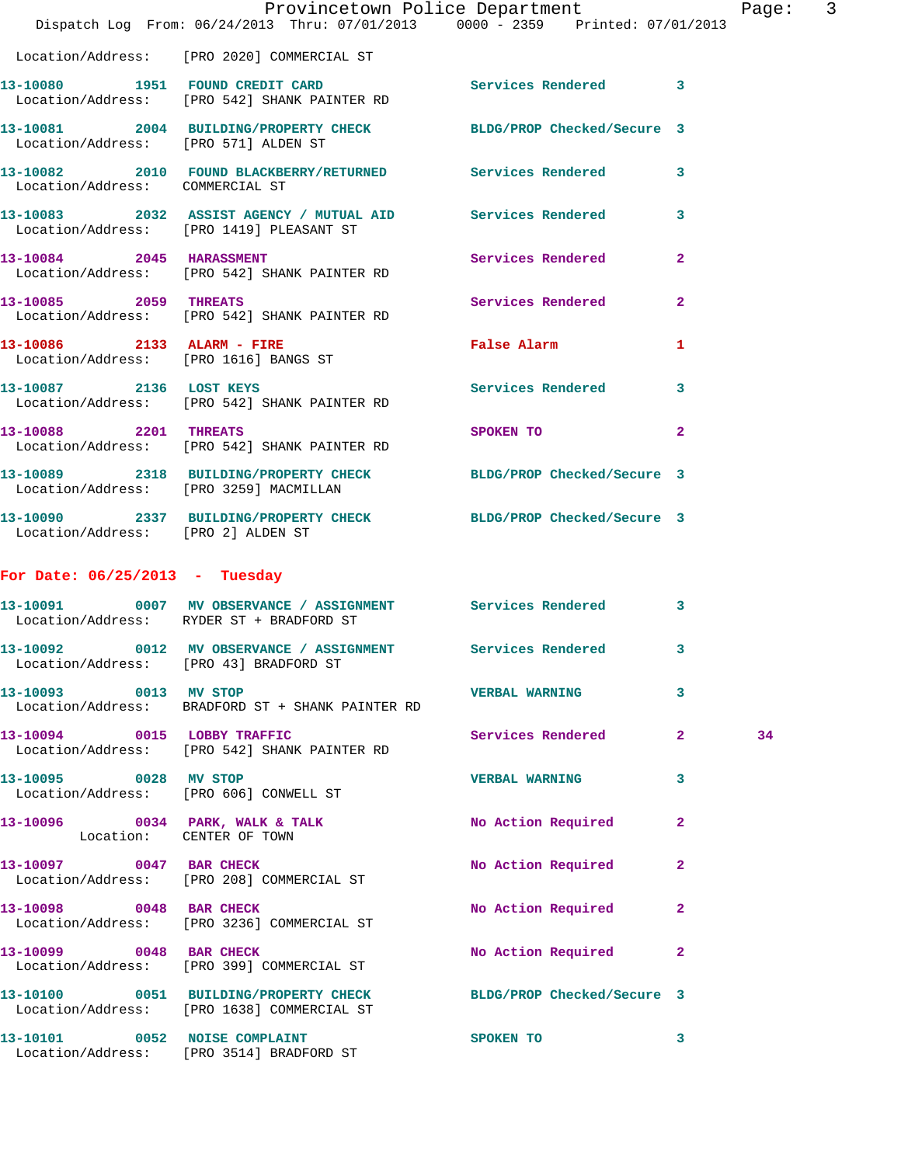|                                      | Dispatch Log From: 06/24/2013 Thru: 07/01/2013 0000 - 2359 Printed: 07/01/2013                                 | Provincetown Police Department                                                                                 |                | Page: | $\overline{\phantom{a}}$ 3 |
|--------------------------------------|----------------------------------------------------------------------------------------------------------------|----------------------------------------------------------------------------------------------------------------|----------------|-------|----------------------------|
|                                      | Location/Address: [PRO 2020] COMMERCIAL ST                                                                     |                                                                                                                |                |       |                            |
|                                      | 13-10080 1951 FOUND CREDIT CARD<br>Location/Address: [PRO 542] SHANK PAINTER RD                                | Services Rendered 3                                                                                            |                |       |                            |
| Location/Address: [PRO 571] ALDEN ST | 13-10081 2004 BUILDING/PROPERTY CHECK BLDG/PROP Checked/Secure 3                                               |                                                                                                                |                |       |                            |
| Location/Address: COMMERCIAL ST      | 13-10082 2010 FOUND BLACKBERRY/RETURNED Services Rendered 3                                                    |                                                                                                                |                |       |                            |
|                                      | 13-10083 2032 ASSIST AGENCY / MUTUAL AID Services Rendered 3<br>Location/Address: [PRO 1419] PLEASANT ST       |                                                                                                                |                |       |                            |
|                                      | 13-10084 2045 HARASSMENT<br>Location/Address: [PRO 542] SHANK PAINTER RD                                       | Services Rendered 2                                                                                            |                |       |                            |
| 13-10085 2059 THREATS                | Location/Address: [PRO 542] SHANK PAINTER RD                                                                   | Services Rendered                                                                                              | $\overline{a}$ |       |                            |
|                                      | 13-10086 2133 ALARM - FIRE<br>Location/Address: [PRO 1616] BANGS ST                                            | False Alarm and the state of the state of the state of the state of the state of the state of the state of the | $\mathbf{1}$   |       |                            |
|                                      | 13-10087 2136 LOST KEYS<br>Location/Address: [PRO 542] SHANK PAINTER RD                                        | Services Rendered 3                                                                                            |                |       |                            |
| 13-10088 2201 THREATS                | Location/Address: [PRO 542] SHANK PAINTER RD                                                                   | SPOKEN TO DESCRIPTION OF REAL PROPERTY.                                                                        | $\overline{2}$ |       |                            |
|                                      | 13-10089 2318 BUILDING/PROPERTY CHECK BLDG/PROP Checked/Secure 3<br>Location/Address: [PRO 3259] MACMILLAN     |                                                                                                                |                |       |                            |
| Location/Address: [PRO 2] ALDEN ST   | 13-10090 2337 BUILDING/PROPERTY CHECK BLDG/PROP Checked/Secure 3                                               |                                                                                                                |                |       |                            |
| For Date: $06/25/2013$ - Tuesday     |                                                                                                                |                                                                                                                |                |       |                            |
|                                      | 13-10091 0007 MV OBSERVANCE / ASSIGNMENT Services Rendered<br>Location/Address: RYDER ST + BRADFORD ST         |                                                                                                                | 3              |       |                            |
|                                      | 13-10092 0012 MV OBSERVANCE / ASSIGNMENT Services Rendered 3<br>Location/Address: [PRO 43] BRADFORD ST         |                                                                                                                |                |       |                            |
| 13-10093 0013 MV STOP                | Location/Address: BRADFORD ST + SHANK PAINTER RD                                                               | <b>VERBAL WARNING</b>                                                                                          | 3              |       |                            |
|                                      | 13-10094 0015 LOBBY TRAFFIC<br>Location/Address: [PRO 542] SHANK PAINTER RD                                    | Services Rendered 2                                                                                            |                | 34    |                            |
| 13-10095 0028 MV STOP                | Location/Address: [PRO 606] CONWELL ST                                                                         | <b>VERBAL WARNING</b>                                                                                          | 3              |       |                            |
| Location: CENTER OF TOWN             | 13-10096 0034 PARK, WALK & TALK                                                                                | No Action Required                                                                                             | $\mathbf{2}$   |       |                            |
| 13-10097 0047 BAR CHECK              | Location/Address: [PRO 208] COMMERCIAL ST                                                                      | No Action Required                                                                                             | $\overline{2}$ |       |                            |
|                                      | 13-10098 0048 BAR CHECK<br>Location/Address: [PRO 3236] COMMERCIAL ST                                          | No Action Required                                                                                             | 2              |       |                            |
| 13-10099 0048 BAR CHECK              | Location/Address: [PRO 399] COMMERCIAL ST                                                                      | No Action Required                                                                                             | 2              |       |                            |
|                                      | 13-10100 0051 BUILDING/PROPERTY CHECK BLDG/PROP Checked/Secure 3<br>Location/Address: [PRO 1638] COMMERCIAL ST |                                                                                                                |                |       |                            |
| 13-10101 0052 NOISE COMPLAINT        | Location/Address: [PRO 3514] BRADFORD ST                                                                       | SPOKEN TO                                                                                                      | 3              |       |                            |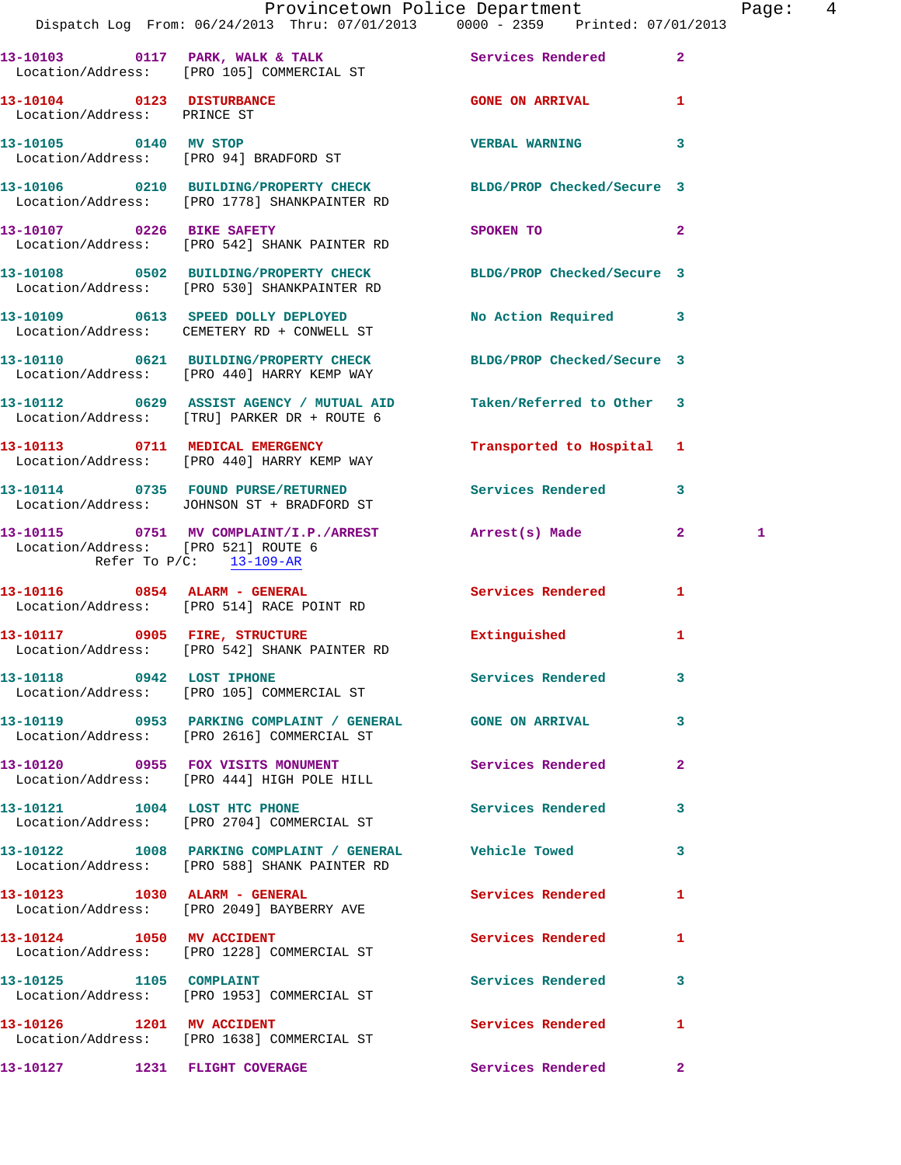|                                                                   | Dispatch Log From: 06/24/2013 Thru: 07/01/2013 0000 - 2359 Printed: 07/01/2013                                   | Provincetown Police Department               | Page: 4 |
|-------------------------------------------------------------------|------------------------------------------------------------------------------------------------------------------|----------------------------------------------|---------|
|                                                                   | 13-10103 0117 PARK, WALK & TALK Services Rendered 2<br>Location/Address: [PRO 105] COMMERCIAL ST                 |                                              |         |
| 13-10104 0123 DISTURBANCE<br>Location/Address: PRINCE ST          |                                                                                                                  | <b>GONE ON ARRIVAL 4.1 SET AND 1.</b>        |         |
|                                                                   |                                                                                                                  | <b>VERBAL WARNING</b><br>3                   |         |
|                                                                   | 13-10106 0210 BUILDING/PROPERTY CHECK BLDG/PROP Checked/Secure 3<br>Location/Address: [PRO 1778] SHANKPAINTER RD |                                              |         |
|                                                                   | 13-10107 0226 BIKE SAFETY<br>Location/Address: [PRO 542] SHANK PAINTER RD                                        | $\mathbf{2}$<br>SPOKEN TO                    |         |
|                                                                   | 13-10108 0502 BUILDING/PROPERTY CHECK BLDG/PROP Checked/Secure 3<br>Location/Address: [PRO 530] SHANKPAINTER RD  |                                              |         |
|                                                                   | 13-10109 0613 SPEED DOLLY DEPLOYED<br>Location/Address: CEMETERY RD + CONWELL ST                                 | No Action Required 3                         |         |
|                                                                   | 13-10110 0621 BUILDING/PROPERTY CHECK BLDG/PROP Checked/Secure 3<br>Location/Address: [PRO 440] HARRY KEMP WAY   |                                              |         |
|                                                                   | 13-10112 0629 ASSIST AGENCY / MUTUAL AID<br>Location/Address: [TRU] PARKER DR + ROUTE 6                          | Taken/Referred to Other 3                    |         |
|                                                                   | 13-10113 0711 MEDICAL EMERGENCY<br>Location/Address: [PRO 440] HARRY KEMP WAY                                    | Transported to Hospital 1                    |         |
|                                                                   | 13-10114 0735 FOUND PURSE/RETURNED Services Rendered 3<br>Location/Address: JOHNSON ST + BRADFORD ST             |                                              |         |
| Location/Address: [PRO 521] ROUTE 6<br>Refer To $P/C$ : 13-109-AR | 13-10115 0751 MV COMPLAINT/I.P./ARREST Arrest(s) Made 2                                                          |                                              | 1       |
|                                                                   | 13-10116 0854 ALARM - GENERAL<br>Location/Address: [PRO 514] RACE POINT RD                                       | <b>Services Rendered</b><br>$\mathbf{1}$     |         |
|                                                                   | 13-10117 0905 FIRE, STRUCTURE<br>Location/Address: [PRO 542] SHANK PAINTER RD                                    | Extinguished<br>1                            |         |
|                                                                   | 13-10118 0942 LOST IPHONE<br>Location/Address: [PRO 105] COMMERCIAL ST                                           | Services Rendered 3                          |         |
|                                                                   | 13-10119 0953 PARKING COMPLAINT / GENERAL GONE ON ARRIVAL 3<br>Location/Address: [PRO 2616] COMMERCIAL ST        |                                              |         |
|                                                                   | 13-10120 0955 FOX VISITS MONUMENT CONFIDENT Services Rendered 2<br>Location/Address: [PRO 444] HIGH POLE HILL    |                                              |         |
|                                                                   | 13-10121 1004 LOST HTC PHONE<br>Location/Address: [PRO 2704] COMMERCIAL ST                                       | Services Rendered<br>3                       |         |
|                                                                   | 13-10122 1008 PARKING COMPLAINT / GENERAL Vehicle Towed 3<br>Location/Address: [PRO 588] SHANK PAINTER RD        |                                              |         |
|                                                                   | 13-10123 1030 ALARM - GENERAL<br>Location/Address: [PRO 2049] BAYBERRY AVE                                       | Services Rendered<br>$\mathbf{1}$            |         |
| 13-10124 1050 MV ACCIDENT                                         | Location/Address: [PRO 1228] COMMERCIAL ST                                                                       | Services Rendered<br>$\mathbf{1}$            |         |
|                                                                   | 13-10125    1105    COMPLAINT<br>Location/Address: [PRO 1953] COMMERCIAL ST                                      | Services Rendered<br>$\overline{\mathbf{3}}$ |         |
| 13-10126 1201 MV ACCIDENT                                         | Location/Address: [PRO 1638] COMMERCIAL ST                                                                       | Services Rendered<br>1                       |         |
| 13-10127 1231 FLIGHT COVERAGE                                     |                                                                                                                  | Services Rendered 2                          |         |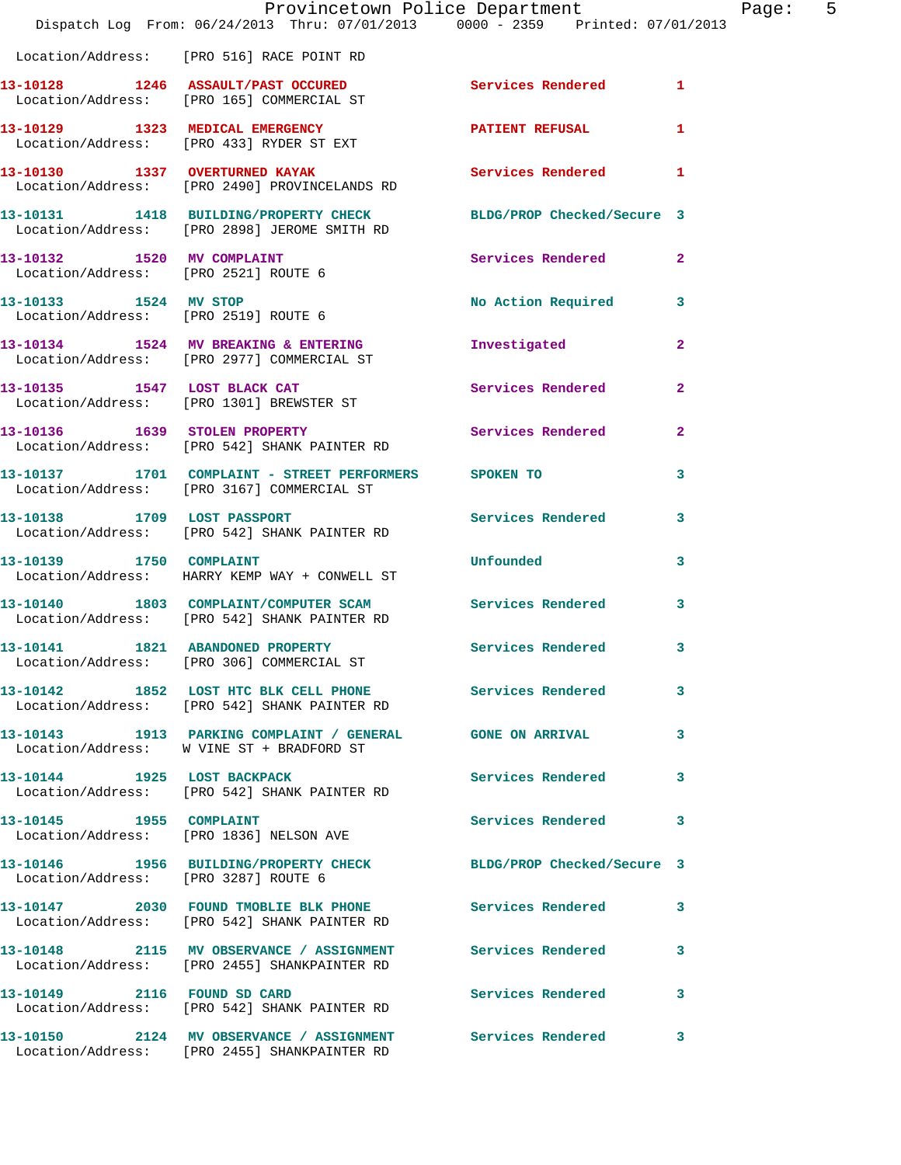|                                      | Provincetown Police Department<br>Dispatch Log From: 06/24/2013 Thru: 07/01/2013 0000 - 2359 Printed: 07/01/2013 |                            |                |
|--------------------------------------|------------------------------------------------------------------------------------------------------------------|----------------------------|----------------|
|                                      | Location/Address: [PRO 516] RACE POINT RD                                                                        |                            |                |
|                                      | 13-10128 1246 ASSAULT/PAST OCCURED<br>Location/Address: [PRO 165] COMMERCIAL ST                                  | Services Rendered          | 1              |
|                                      | 13-10129 1323 MEDICAL EMERGENCY<br>Location/Address: [PRO 433] RYDER ST EXT                                      | <b>PATIENT REFUSAL</b>     | 1              |
|                                      | 13-10130 1337 OVERTURNED KAYAK<br>Location/Address: [PRO 2490] PROVINCELANDS RD                                  | <b>Services Rendered</b>   | 1              |
|                                      | 13-10131 1418 BUILDING/PROPERTY CHECK BLDG/PROP Checked/Secure 3<br>Location/Address: [PRO 2898] JEROME SMITH RD |                            |                |
| Location/Address: [PRO 2521] ROUTE 6 | 13-10132 1520 MV COMPLAINT                                                                                       | Services Rendered          | $\overline{2}$ |
| 13-10133 1524 MV STOP                | Location/Address: [PRO 2519] ROUTE 6                                                                             | No Action Required         | 3              |
|                                      | 13-10134 1524 MV BREAKING & ENTERING<br>Location/Address: [PRO 2977] COMMERCIAL ST                               | Investigated               | $\overline{2}$ |
|                                      | 13-10135 1547 LOST BLACK CAT<br>Location/Address: [PRO 1301] BREWSTER ST                                         | Services Rendered          | $\mathbf{2}$   |
|                                      | 13-10136 1639 STOLEN PROPERTY<br>Location/Address: [PRO 542] SHANK PAINTER RD                                    | Services Rendered          | $\overline{2}$ |
|                                      | 13-10137 1701 COMPLAINT - STREET PERFORMERS SPOKEN TO<br>Location/Address: [PRO 3167] COMMERCIAL ST              |                            | 3              |
|                                      | 13-10138 1709 LOST PASSPORT<br>Location/Address: [PRO 542] SHANK PAINTER RD                                      | <b>Services Rendered</b>   | 3              |
| 13-10139 1750 COMPLAINT              | Location/Address: HARRY KEMP WAY + CONWELL ST                                                                    | Unfounded                  | 3              |
|                                      | 13-10140 1803 COMPLAINT/COMPUTER SCAM Services Rendered<br>Location/Address: [PRO 542] SHANK PAINTER RD          |                            | 3              |
|                                      | 13-10141 1821 ABANDONED PROPERTY<br>Location/Address: [PRO 306] COMMERCIAL ST                                    | <b>Services Rendered</b>   | 3              |
|                                      | 13-10142 1852 LOST HTC BLK CELL PHONE Services Rendered<br>Location/Address: [PRO 542] SHANK PAINTER RD          |                            | 3              |
|                                      | 13-10143 1913 PARKING COMPLAINT / GENERAL GONE ON ARRIVAL<br>Location/Address: W VINE ST + BRADFORD ST           |                            | 3              |
| 13-10144 1925 LOST BACKPACK          | Location/Address: [PRO 542] SHANK PAINTER RD                                                                     | Services Rendered          | 3              |
| 13-10145   1955   COMPLAINT          | Location/Address: [PRO 1836] NELSON AVE                                                                          | <b>Services Rendered</b>   | 3              |
| Location/Address: [PRO 3287] ROUTE 6 | 13-10146 1956 BUILDING/PROPERTY CHECK                                                                            | BLDG/PROP Checked/Secure 3 |                |
|                                      | 13-10147 2030 FOUND TMOBLIE BLK PHONE Services Rendered<br>Location/Address: [PRO 542] SHANK PAINTER RD          |                            | 3              |
|                                      | 13-10148 2115 MV OBSERVANCE / ASSIGNMENT Services Rendered<br>Location/Address: [PRO 2455] SHANKPAINTER RD       |                            | 3              |
|                                      | 13-10149 2116 FOUND SD CARD<br>Location/Address: [PRO 542] SHANK PAINTER RD                                      | <b>Services Rendered</b>   | 3              |
|                                      | 13-10150 2124 MV OBSERVANCE / ASSIGNMENT Services Rendered<br>Location/Address: [PRO 2455] SHANKPAINTER RD       |                            | 3              |

Page: 5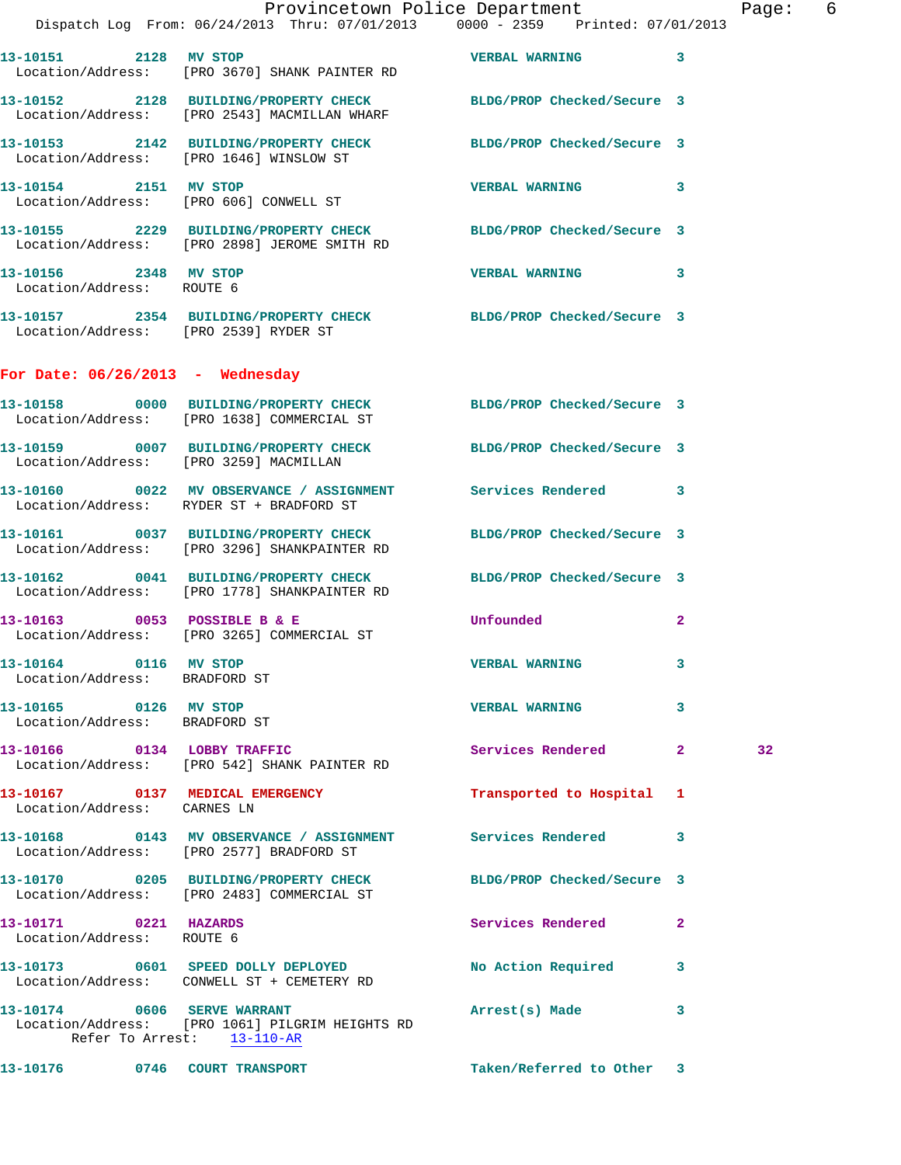|                                                        | Provincetown Police Department<br>Dispatch Log From: 06/24/2013 Thru: 07/01/2013 0000 - 2359 Printed: 07/01/2013     |                            |              | Page            |
|--------------------------------------------------------|----------------------------------------------------------------------------------------------------------------------|----------------------------|--------------|-----------------|
| 13-10151 2128 MV STOP                                  | Location/Address: [PRO 3670] SHANK PAINTER RD                                                                        | <b>VERBAL WARNING</b> 3    |              |                 |
|                                                        | 13-10152 2128 BUILDING/PROPERTY CHECK BLDG/PROP Checked/Secure 3<br>Location/Address: [PRO 2543] MACMILLAN WHARF     |                            |              |                 |
|                                                        | 13-10153 2142 BUILDING/PROPERTY CHECK BLDG/PROP Checked/Secure 3<br>Location/Address: [PRO 1646] WINSLOW ST          |                            |              |                 |
| 13-10154 2151 MV STOP                                  | Location/Address: [PRO 606] CONWELL ST                                                                               | VERBAL WARNING 3           |              |                 |
|                                                        | 13-10155 2229 BUILDING/PROPERTY CHECK BLDG/PROP Checked/Secure 3<br>Location/Address: [PRO 2898] JEROME SMITH RD     |                            |              |                 |
| 13-10156 2348 MV STOP<br>Location/Address: ROUTE 6     |                                                                                                                      | VERBAL WARNING 3           |              |                 |
| Location/Address: [PRO 2539] RYDER ST                  | 13-10157 2354 BUILDING/PROPERTY CHECK BLDG/PROP Checked/Secure 3                                                     |                            |              |                 |
| For Date: $06/26/2013$ - Wednesday                     |                                                                                                                      |                            |              |                 |
|                                                        | 13-10158 0000 BUILDING/PROPERTY CHECK BLDG/PROP Checked/Secure 3<br>Location/Address: [PRO 1638] COMMERCIAL ST       |                            |              |                 |
|                                                        | 13-10159 0007 BUILDING/PROPERTY CHECK BLDG/PROP Checked/Secure 3<br>Location/Address: [PRO 3259] MACMILLAN           |                            |              |                 |
|                                                        | 13-10160 0022 MV OBSERVANCE / ASSIGNMENT Services Rendered 3<br>Location/Address: RYDER ST + BRADFORD ST             |                            |              |                 |
|                                                        | 13-10161 0037 BUILDING/PROPERTY CHECK BLDG/PROP Checked/Secure 3<br>Location/Address: [PRO 3296] SHANKPAINTER RD     |                            |              |                 |
|                                                        | 13-10162 0041 BUILDING/PROPERTY CHECK BLDG/PROP Checked/Secure 3<br>Location/Address: [PRO 1778] SHANKPAINTER RD     |                            |              |                 |
|                                                        | $13 - 10163$ 0053 POSSIBLE B & E<br>Location/Address: [PRO 3265] COMMERCIAL ST                                       | Unfounded                  | $\mathbf{2}$ |                 |
| 13-10164 0116 MV STOP<br>Location/Address: BRADFORD ST |                                                                                                                      | <b>VERBAL WARNING</b>      | 3            |                 |
| 13-10165 0126 MV STOP<br>Location/Address: BRADFORD ST |                                                                                                                      | VERBAL WARNING 3           |              |                 |
|                                                        | 13-10166 0134 LOBBY TRAFFIC<br>Location/Address: [PRO 542] SHANK PAINTER RD                                          | Services Rendered 2        |              | 32 <sub>1</sub> |
| Location/Address: CARNES LN                            | 13-10167 0137 MEDICAL EMERGENCY                                                                                      | Transported to Hospital 1  |              |                 |
|                                                        | 13-10168       0143   MV OBSERVANCE / ASSIGNMENT       Services Rendered<br>Location/Address: [PRO 2577] BRADFORD ST |                            | 3            |                 |
|                                                        | 13-10170 0205 BUILDING/PROPERTY CHECK<br>Location/Address: [PRO 2483] COMMERCIAL ST                                  | BLDG/PROP Checked/Secure 3 |              |                 |
| 13-10171 0221 HAZARDS<br>Location/Address: ROUTE 6     |                                                                                                                      | Services Rendered          | $\mathbf{2}$ |                 |
|                                                        | 13-10173 0601 SPEED DOLLY DEPLOYED No Action Required 3<br>Location/Address: CONWELL ST + CEMETERY RD                |                            |              |                 |
| 13-10174 0606 SERVE WARRANT                            | Location/Address: [PRO 1061] PILGRIM HEIGHTS RD<br>Refer To Arrest: 13-110-AR                                        | Arrest(s) Made 3           |              |                 |
|                                                        |                                                                                                                      |                            |              |                 |

**13-10176 0746 COURT TRANSPORT Taken/Referred to Other 3** 

age: 6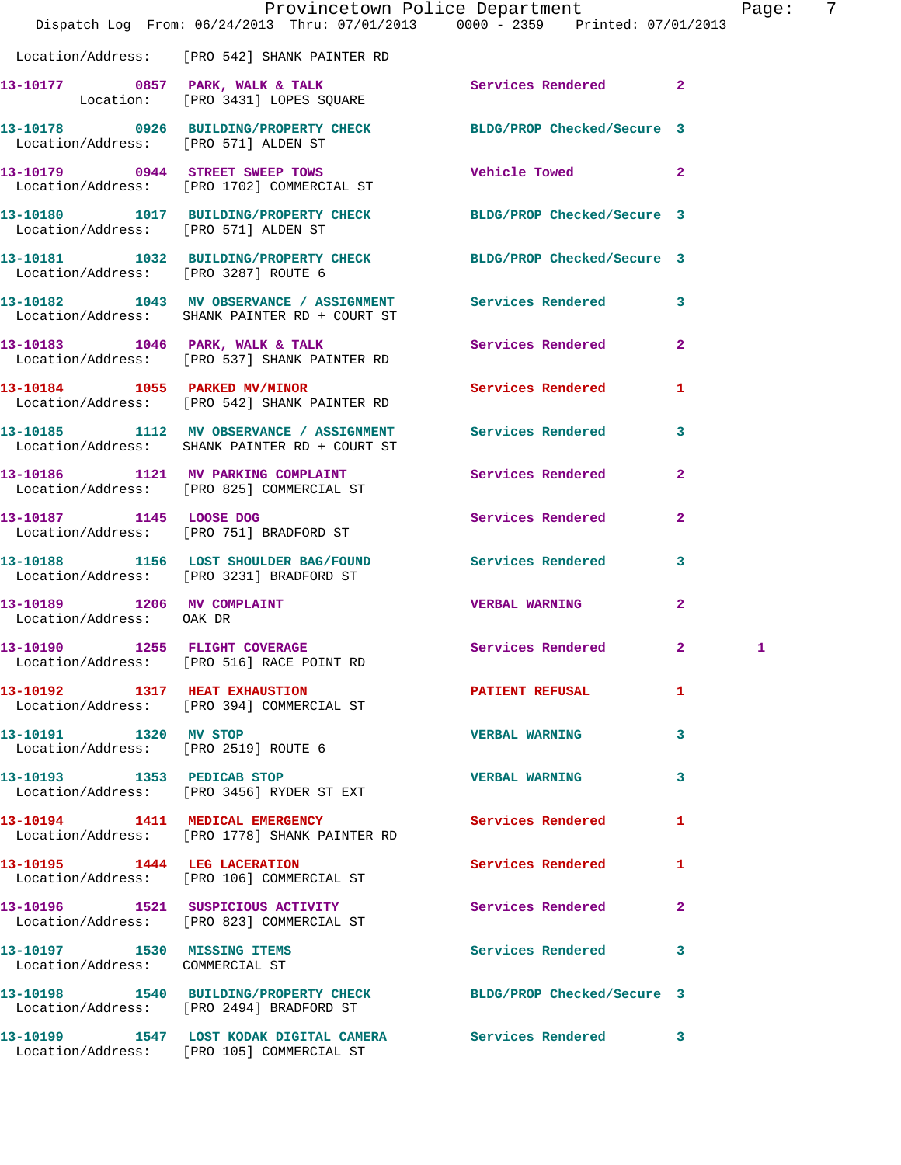|                                                                | Dispatch Log From: 06/24/2013 Thru: 07/01/2013 0000 - 2359 Printed: 07/01/2013                              | Provincetown Police Department |                | Pag |
|----------------------------------------------------------------|-------------------------------------------------------------------------------------------------------------|--------------------------------|----------------|-----|
|                                                                | Location/Address: [PRO 542] SHANK PAINTER RD                                                                |                                |                |     |
|                                                                | 13-10177 0857 PARK, WALK & TALK<br>Location: [PRO 3431] LOPES SQUARE                                        | Services Rendered              | $\overline{2}$ |     |
|                                                                | 13-10178 0926 BUILDING/PROPERTY CHECK BLDG/PROP Checked/Secure 3<br>Location/Address: [PRO 571] ALDEN ST    |                                |                |     |
|                                                                | 13-10179 0944 STREET SWEEP TOWS<br>Location/Address: [PRO 1702] COMMERCIAL ST                               | Vehicle Towed                  | $\overline{2}$ |     |
| Location/Address: [PRO 571] ALDEN ST                           | 13-10180 1017 BUILDING/PROPERTY CHECK BLDG/PROP Checked/Secure 3                                            |                                |                |     |
|                                                                | 13-10181 1032 BUILDING/PROPERTY CHECK BLDG/PROP Checked/Secure 3<br>Location/Address: [PRO 3287] ROUTE 6    |                                |                |     |
|                                                                | 13-10182 1043 MV OBSERVANCE / ASSIGNMENT Services Rendered<br>Location/Address: SHANK PAINTER RD + COURT ST |                                | 3              |     |
|                                                                | 13-10183 1046 PARK, WALK & TALK Services Rendered<br>Location/Address: [PRO 537] SHANK PAINTER RD           |                                | $\mathbf{2}$   |     |
|                                                                | 13-10184 1055 PARKED MV/MINOR<br>Location/Address: [PRO 542] SHANK PAINTER RD                               | <b>Services Rendered</b>       | 1              |     |
|                                                                | 13-10185 1112 MV OBSERVANCE / ASSIGNMENT Services Rendered<br>Location/Address: SHANK PAINTER RD + COURT ST |                                | 3              |     |
|                                                                | 13-10186 1121 MV PARKING COMPLAINT<br>Location/Address: [PRO 825] COMMERCIAL ST                             | Services Rendered              | $\overline{a}$ |     |
| 13-10187 1145 LOOSE DOG                                        | Location/Address: [PRO 751] BRADFORD ST                                                                     | Services Rendered              | $\overline{a}$ |     |
|                                                                | 13-10188 1156 LOST SHOULDER BAG/FOUND Services Rendered<br>Location/Address: [PRO 3231] BRADFORD ST         |                                | 3              |     |
| 13-10189 1206 MV COMPLAINT<br>Location/Address: OAK DR         |                                                                                                             | <b>VERBAL WARNING</b>          | $\mathbf{2}$   |     |
| 13-10190 1255 FLIGHT COVERAGE                                  | Location/Address: [PRO 516] RACE POINT RD                                                                   | <b>Services Rendered</b> 2     |                | 1   |
|                                                                | 13-10192 1317 HEAT EXHAUSTION<br>Location/Address: [PRO 394] COMMERCIAL ST                                  | PATIENT REFUSAL                | 1              |     |
| 13-10191 1320 MV STOP<br>Location/Address: [PRO 2519] ROUTE 6  |                                                                                                             | <b>VERBAL WARNING</b>          | 3              |     |
| 13-10193 1353 PEDICAB STOP                                     | Location/Address: [PRO 3456] RYDER ST EXT                                                                   | <b>VERBAL WARNING</b>          | 3              |     |
|                                                                | 13-10194 1411 MEDICAL EMERGENCY<br>Location/Address: [PRO 1778] SHANK PAINTER RD                            | <b>Services Rendered</b>       | 1              |     |
|                                                                | 13-10195 1444 LEG LACERATION<br>Location/Address: [PRO 106] COMMERCIAL ST                                   | Services Rendered              | 1              |     |
|                                                                | 13-10196 1521 SUSPICIOUS ACTIVITY<br>Location/Address: [PRO 823] COMMERCIAL ST                              | <b>Services Rendered</b>       | 2              |     |
| 13-10197 1530 MISSING ITEMS<br>Location/Address: COMMERCIAL ST |                                                                                                             | Services Rendered              | 3              |     |
|                                                                | 13-10198 1540 BUILDING/PROPERTY CHECK<br>Location/Address: [PRO 2494] BRADFORD ST                           | BLDG/PROP Checked/Secure 3     |                |     |
|                                                                | 13-10199 1547 LOST KODAK DIGITAL CAMERA Services Rendered<br>Location/Address: [PRO 105] COMMERCIAL ST      |                                | 3              |     |

age: 7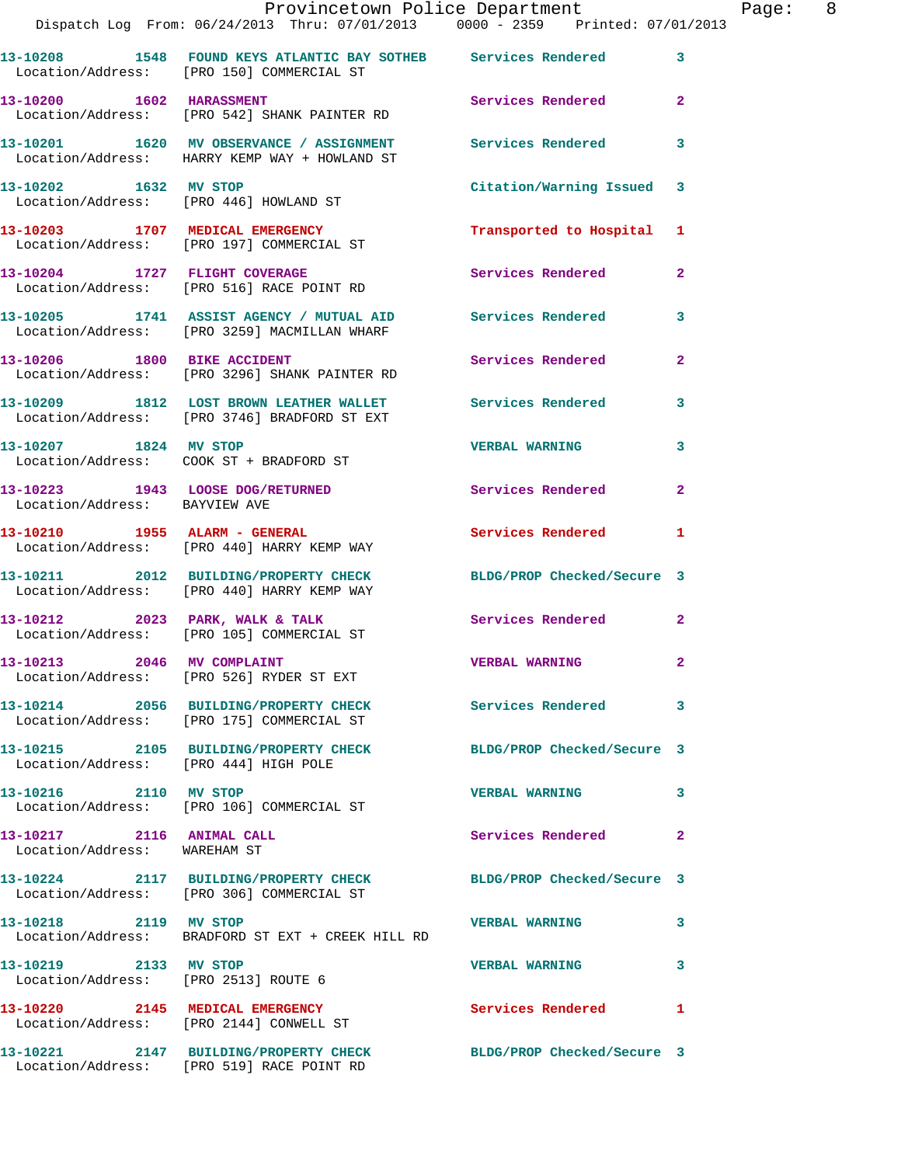|                                                               | Provincetown Police Department<br>Dispatch Log From: 06/24/2013 Thru: 07/01/2013 0000 - 2359 Printed: 07/01/2013 |                           | Page: 8        |
|---------------------------------------------------------------|------------------------------------------------------------------------------------------------------------------|---------------------------|----------------|
|                                                               |                                                                                                                  |                           |                |
|                                                               | 13-10208 1548 FOUND KEYS ATLANTIC BAY SOTHEB Services Rendered 3<br>Location/Address: [PRO 150] COMMERCIAL ST    |                           |                |
| 13-10200 1602 HARASSMENT                                      | Location/Address: [PRO 542] SHANK PAINTER RD                                                                     | Services Rendered 2       |                |
|                                                               | 13-10201 1620 MV OBSERVANCE / ASSIGNMENT Services Rendered 3<br>Location/Address: HARRY KEMP WAY + HOWLAND ST    |                           |                |
| 13-10202 1632 MV STOP                                         | Location/Address: [PRO 446] HOWLAND ST                                                                           | Citation/Warning Issued 3 |                |
|                                                               | 13-10203 1707 MEDICAL EMERGENCY<br>Location/Address: [PRO 197] COMMERCIAL ST                                     | Transported to Hospital 1 |                |
|                                                               | 13-10204 1727 FLIGHT COVERAGE<br>Location/Address: [PRO 516] RACE POINT RD                                       | Services Rendered 2       |                |
|                                                               | 13-10205 1741 ASSIST AGENCY / MUTUAL AID Services Rendered 3<br>Location/Address: [PRO 3259] MACMILLAN WHARF     |                           |                |
|                                                               | 13-10206 1800 BIKE ACCIDENT<br>Location/Address: [PRO 3296] SHANK PAINTER RD                                     | <b>Services Rendered</b>  | $\overline{2}$ |
|                                                               | 13-10209 1812 LOST BROWN LEATHER WALLET Services Rendered 3<br>Location/Address: [PRO 3746] BRADFORD ST EXT      |                           |                |
|                                                               | 13-10207 1824 MV STOP<br>Location/Address: COOK ST + BRADFORD ST                                                 | <b>VERBAL WARNING</b>     | 3              |
| Location/Address: BAYVIEW AVE                                 | 13-10223 1943 LOOSE DOG/RETURNED Services Rendered 2                                                             |                           |                |
|                                                               | 13-10210 1955 ALARM - GENERAL<br>Location/Address: [PRO 440] HARRY KEMP WAY                                      | Services Rendered 1       |                |
|                                                               | 13-10211 2012 BUILDING/PROPERTY CHECK BLDG/PROP Checked/Secure 3<br>Location/Address: [PRO 440] HARRY KEMP WAY   |                           |                |
|                                                               | 13-10212 2023 PARK, WALK & TALK<br>Location/Address: [PRO 105] COMMERCIAL ST                                     | Services Rendered 2       |                |
| 13-10213 2046 MV COMPLAINT                                    | Location/Address: [PRO 526] RYDER ST EXT                                                                         | <b>EXERGED MARNING 2</b>  |                |
|                                                               | 13-10214 2056 BUILDING/PROPERTY CHECK Services Rendered 3<br>Location/Address: [PRO 175] COMMERCIAL ST           |                           |                |
| Location/Address: [PRO 444] HIGH POLE                         | 13-10215 2105 BUILDING/PROPERTY CHECK BLDG/PROP Checked/Secure 3                                                 |                           |                |
| 13-10216 2110 MV STOP                                         | Location/Address: [PRO 106] COMMERCIAL ST                                                                        | <b>VERBAL WARNING</b>     | 3              |
| 13-10217 2116 ANIMAL CALL<br>Location/Address: WAREHAM ST     |                                                                                                                  | Services Rendered 2       |                |
|                                                               | 13-10224 2117 BUILDING/PROPERTY CHECK BLDG/PROP Checked/Secure 3<br>Location/Address: [PRO 306] COMMERCIAL ST    |                           |                |
| 13-10218 2119 MV STOP                                         | Location/Address: BRADFORD ST EXT + CREEK HILL RD                                                                | <b>VERBAL WARNING</b>     | 3              |
| 13-10219 2133 MV STOP<br>Location/Address: [PRO 2513] ROUTE 6 |                                                                                                                  | <b>VERBAL WARNING</b>     | 3              |
|                                                               | 13-10220 2145 MEDICAL EMERGENCY<br>Location/Address: [PRO 2144] CONWELL ST                                       | Services Rendered 1       |                |
|                                                               | 13-10221 2147 BUILDING/PROPERTY CHECK BLDG/PROP Checked/Secure 3<br>Location/Address: [PRO 519] RACE POINT RD    |                           |                |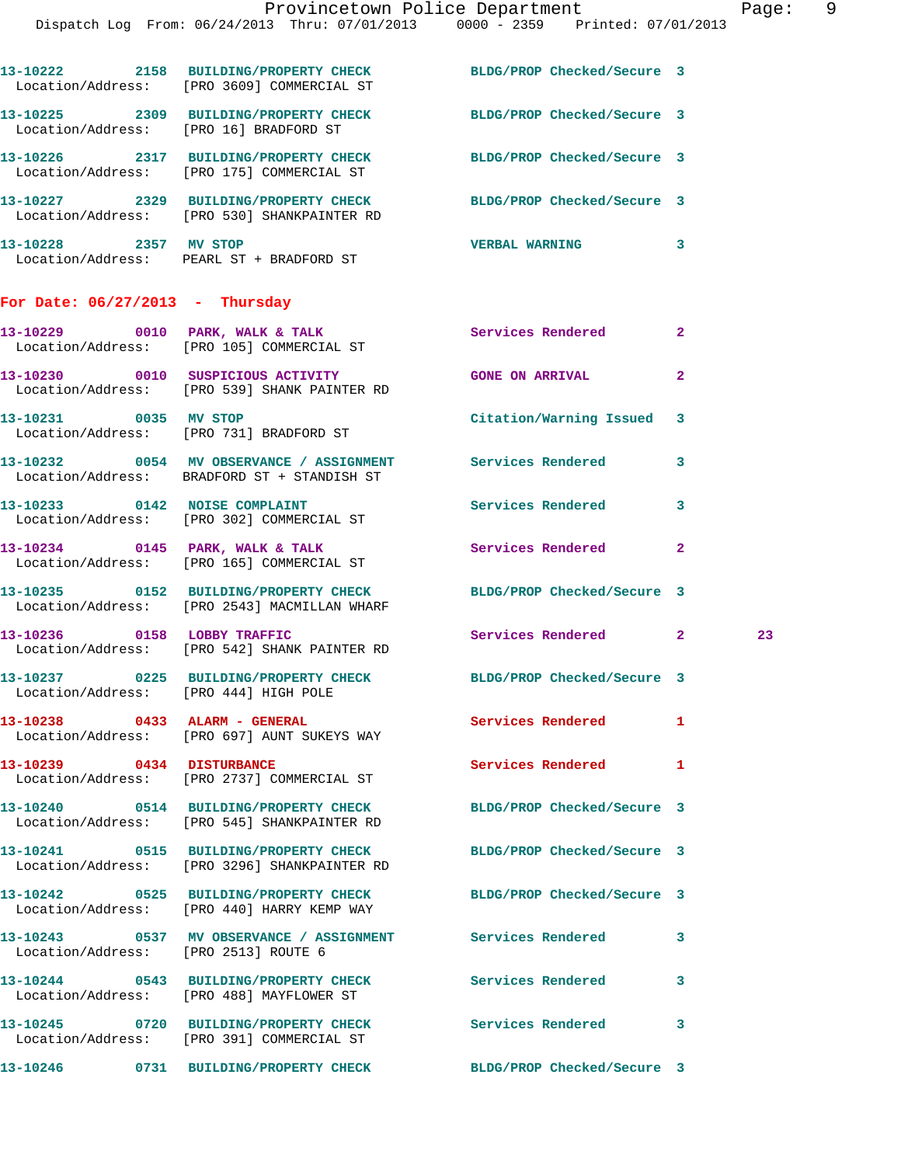|                                   | 13-10222 2158 BUILDING/PROPERTY CHECK<br>Location/Address: [PRO 3609] COMMERCIAL ST                              | BLDG/PROP Checked/Secure 3 |              |    |
|-----------------------------------|------------------------------------------------------------------------------------------------------------------|----------------------------|--------------|----|
|                                   | 13-10225 2309 BUILDING/PROPERTY CHECK BLDG/PROP Checked/Secure 3<br>Location/Address: [PRO 16] BRADFORD ST       |                            |              |    |
|                                   | 13-10226 2317 BUILDING/PROPERTY CHECK<br>Location/Address: [PRO 175] COMMERCIAL ST                               | BLDG/PROP Checked/Secure 3 |              |    |
|                                   | 13-10227 2329 BUILDING/PROPERTY CHECK BLDG/PROP Checked/Secure 3<br>Location/Address: [PRO 530] SHANKPAINTER RD  |                            |              |    |
| 13-10228 2357 MV STOP             | Location/Address: PEARL ST + BRADFORD ST                                                                         | <b>VERBAL WARNING</b>      | 3            |    |
| For Date: $06/27/2013$ - Thursday |                                                                                                                  |                            |              |    |
|                                   | 13-10229 0010 PARK, WALK & TALK<br>Location/Address: [PRO 105] COMMERCIAL ST                                     | Services Rendered          | $\mathbf{2}$ |    |
|                                   | 13-10230 0010 SUSPICIOUS ACTIVITY<br>Location/Address: [PRO 539] SHANK PAINTER RD                                | <b>GONE ON ARRIVAL</b>     | 2            |    |
| 13-10231 0035 MV STOP             | Location/Address: [PRO 731] BRADFORD ST                                                                          | Citation/Warning Issued 3  |              |    |
|                                   | 13-10232 0054 MV OBSERVANCE / ASSIGNMENT Services Rendered<br>Location/Address: BRADFORD ST + STANDISH ST        |                            | 3            |    |
|                                   | 13-10233 0142 NOISE COMPLAINT<br>Location/Address: [PRO 302] COMMERCIAL ST                                       | <b>Services Rendered</b>   | 3            |    |
|                                   | 13-10234 0145 PARK, WALK & TALK<br>Location/Address: [PRO 165] COMMERCIAL ST                                     | Services Rendered          | $\mathbf{2}$ |    |
|                                   | 13-10235 0152 BUILDING/PROPERTY CHECK BLDG/PROP Checked/Secure 3<br>Location/Address: [PRO 2543] MACMILLAN WHARF |                            |              |    |
|                                   | 13-10236 0158 LOBBY TRAFFIC<br>Location/Address: [PRO 542] SHANK PAINTER RD                                      | Services Rendered 2        |              | 23 |
|                                   | 13-10237 0225 BUILDING/PROPERTY CHECK BLDG/PROP Checked/Secure 3<br>Location/Address: [PRO 444] HIGH POLE        |                            |              |    |
|                                   | 13-10238 0433 ALARM - GENERAL<br>Location/Address: [PRO 697] AUNT SUKEYS WAY                                     | Services Rendered          | 1            |    |
|                                   | Location/Address: [PRO 2737] COMMERCIAL ST                                                                       | Services Rendered          | 1            |    |
|                                   | 13-10240 0514 BUILDING/PROPERTY CHECK BLDG/PROP Checked/Secure 3<br>Location/Address: [PRO 545] SHANKPAINTER RD  |                            |              |    |
|                                   | 13-10241 0515 BUILDING/PROPERTY CHECK<br>Location/Address: [PRO 3296] SHANKPAINTER RD                            | BLDG/PROP Checked/Secure 3 |              |    |
|                                   | 13-10242 0525 BUILDING/PROPERTY CHECK BLDG/PROP Checked/Secure 3<br>Location/Address: [PRO 440] HARRY KEMP WAY   |                            |              |    |
|                                   | 13-10243 0537 MV OBSERVANCE / ASSIGNMENT Services Rendered<br>Location/Address: [PRO 2513] ROUTE 6               |                            | 3            |    |
|                                   | 13-10244 0543 BUILDING/PROPERTY CHECK<br>Location/Address: [PRO 488] MAYFLOWER ST                                | <b>Services Rendered</b>   | 3            |    |
|                                   | 13-10245 0720 BUILDING/PROPERTY CHECK Services Rendered<br>Location/Address: [PRO 391] COMMERCIAL ST             |                            | 3            |    |
|                                   | 13-10246      0731  BUILDING/PROPERTY CHECK        BLDG/PROP Checked/Secure 3                                    |                            |              |    |
|                                   |                                                                                                                  |                            |              |    |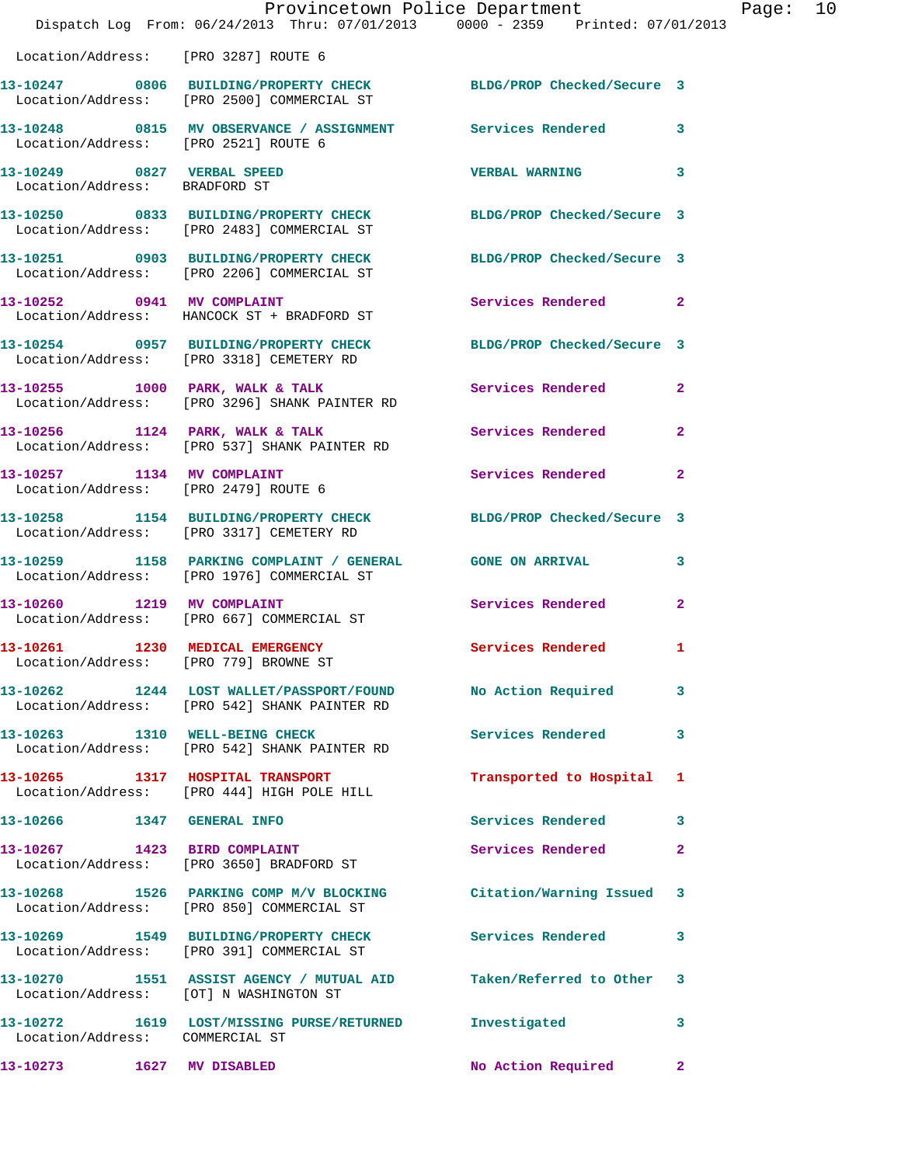|                                                                          | Provincetown Police Department<br>Dispatch Log From: 06/24/2013 Thru: 07/01/2013 0000 - 2359 Printed: 07/01/2013 |                            |                |
|--------------------------------------------------------------------------|------------------------------------------------------------------------------------------------------------------|----------------------------|----------------|
| Location/Address: [PRO 3287] ROUTE 6                                     |                                                                                                                  |                            |                |
|                                                                          | 13-10247 0806 BUILDING/PROPERTY CHECK<br>Location/Address: [PRO 2500] COMMERCIAL ST                              | BLDG/PROP Checked/Secure 3 |                |
| Location/Address: [PRO 2521] ROUTE 6                                     | 13-10248 0815 MV OBSERVANCE / ASSIGNMENT Services Rendered                                                       |                            | 3              |
| 13-10249 0827 VERBAL SPEED<br>Location/Address: BRADFORD ST              |                                                                                                                  | <b>VERBAL WARNING</b>      | 3              |
|                                                                          | 13-10250 0833 BUILDING/PROPERTY CHECK<br>Location/Address: [PRO 2483] COMMERCIAL ST                              | BLDG/PROP Checked/Secure 3 |                |
|                                                                          | 13-10251 0903 BUILDING/PROPERTY CHECK<br>Location/Address: [PRO 2206] COMMERCIAL ST                              | BLDG/PROP Checked/Secure 3 |                |
|                                                                          | 13-10252 0941 MV COMPLAINT<br>Location/Address: HANCOCK ST + BRADFORD ST                                         | Services Rendered          | $\mathbf{2}$   |
|                                                                          | 13-10254 0957 BUILDING/PROPERTY CHECK<br>Location/Address: [PRO 3318] CEMETERY RD                                | BLDG/PROP Checked/Secure 3 |                |
|                                                                          | 13-10255 1000 PARK, WALK & TALK<br>Location/Address: [PRO 3296] SHANK PAINTER RD                                 | <b>Services Rendered</b>   | $\mathbf{2}$   |
| 13-10256 1124 PARK, WALK & TALK                                          | Location/Address: [PRO 537] SHANK PAINTER RD                                                                     | Services Rendered          | $\mathbf{2}$   |
| 13-10257 1134 MV COMPLAINT<br>Location/Address: [PRO 2479] ROUTE 6       |                                                                                                                  | Services Rendered          | $\overline{2}$ |
|                                                                          | 13-10258 1154 BUILDING/PROPERTY CHECK<br>Location/Address: [PRO 3317] CEMETERY RD                                | BLDG/PROP Checked/Secure 3 |                |
|                                                                          | 13-10259 1158 PARKING COMPLAINT / GENERAL GONE ON ARRIVAL<br>Location/Address: [PRO 1976] COMMERCIAL ST          |                            | 3              |
| 13-10260 1219 MV COMPLAINT                                               | Location/Address: [PRO 667] COMMERCIAL ST                                                                        | Services Rendered          | $\mathbf{2}$   |
| 13-10261 1230 MEDICAL EMERGENCY<br>Location/Address: [PRO 779] BROWNE ST |                                                                                                                  | Services Rendered          | 1              |
|                                                                          | 13-10262 1244 LOST WALLET/PASSPORT/FOUND<br>Location/Address: [PRO 542] SHANK PAINTER RD                         | No Action Required         | 3              |
| 13-10263 1310 WELL-BEING CHECK                                           | Location/Address: [PRO 542] SHANK PAINTER RD                                                                     | <b>Services Rendered</b>   | 3              |
|                                                                          | 13-10265 1317 HOSPITAL TRANSPORT<br>Location/Address: [PRO 444] HIGH POLE HILL                                   | Transported to Hospital    | 1              |
| 13-10266 1347 GENERAL INFO                                               |                                                                                                                  | Services Rendered          | 3              |
| 13-10267                                                                 | 1423 BIRD COMPLAINT<br>Location/Address: [PRO 3650] BRADFORD ST                                                  | Services Rendered          | 2              |
|                                                                          | 13-10268 1526 PARKING COMP M/V BLOCKING<br>Location/Address: [PRO 850] COMMERCIAL ST                             | Citation/Warning Issued    | 3              |
|                                                                          | 13-10269 1549 BUILDING/PROPERTY CHECK<br>Location/Address: [PRO 391] COMMERCIAL ST                               | <b>Services Rendered</b>   | 3              |
| Location/Address: [OT] N WASHINGTON ST                                   | 13-10270 1551 ASSIST AGENCY / MUTUAL AID Taken/Referred to Other                                                 |                            | 3              |
| Location/Address: COMMERCIAL ST                                          | 13-10272 1619 LOST/MISSING PURSE/RETURNED Investigated                                                           |                            | 3              |
|                                                                          |                                                                                                                  | No Action Required         | $\mathbf{2}$   |

Page:  $10$ <br> $13$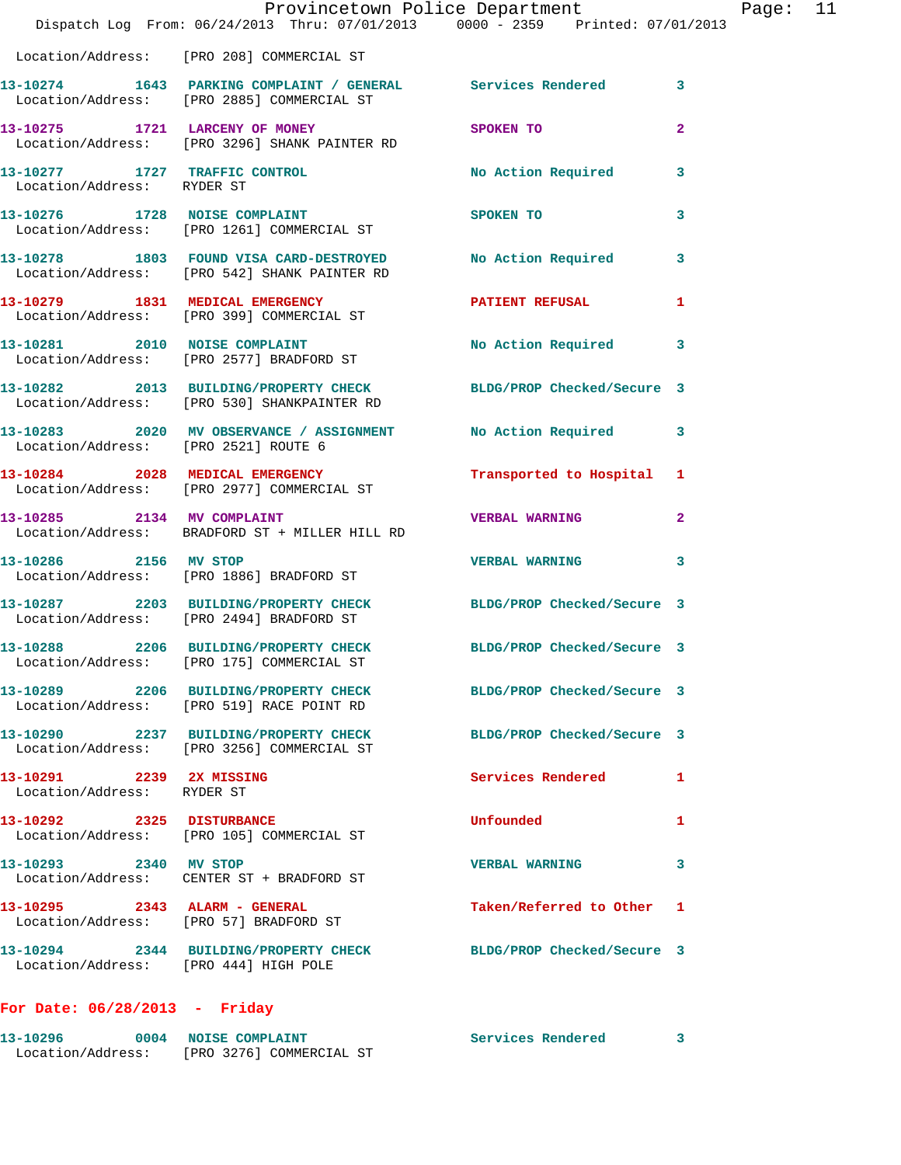|                                                                                                           |                                                                                                                 | Provincetown Police Department |              | Page: 11 |  |
|-----------------------------------------------------------------------------------------------------------|-----------------------------------------------------------------------------------------------------------------|--------------------------------|--------------|----------|--|
|                                                                                                           | Dispatch Log From: 06/24/2013 Thru: 07/01/2013 0000 - 2359 Printed: 07/01/2013                                  |                                |              |          |  |
|                                                                                                           | Location/Address: [PRO 208] COMMERCIAL ST                                                                       |                                |              |          |  |
|                                                                                                           | 13-10274 1643 PARKING COMPLAINT / GENERAL Services Rendered 3<br>Location/Address: [PRO 2885] COMMERCIAL ST     |                                |              |          |  |
|                                                                                                           | 13-10275 1721 LARCENY OF MONEY<br>Location/Address: [PRO 3296] SHANK PAINTER RD                                 | SPOKEN TO                      | $\mathbf{2}$ |          |  |
| Location/Address: RYDER ST                                                                                | 13-10277 1727 TRAFFIC CONTROL 13-10277 No Action Required 3                                                     |                                |              |          |  |
|                                                                                                           | 13-10276 1728 NOISE COMPLAINT<br>Location/Address: [PRO 1261] COMMERCIAL ST                                     | SPOKEN TO                      | 3            |          |  |
|                                                                                                           | 13-10278 1803 FOUND VISA CARD-DESTROYED No Action Required 3<br>Location/Address: [PRO 542] SHANK PAINTER RD    |                                |              |          |  |
|                                                                                                           | 13-10279 1831 MEDICAL EMERGENCY<br>Location/Address: [PRO 399] COMMERCIAL ST                                    | PATIENT REFUSAL 1              |              |          |  |
|                                                                                                           | 13-10281 2010 NOISE COMPLAINT<br>Location/Address: [PRO 2577] BRADFORD ST                                       | No Action Required             | 3            |          |  |
|                                                                                                           | 13-10282 2013 BUILDING/PROPERTY CHECK BLDG/PROP Checked/Secure 3<br>Location/Address: [PRO 530] SHANKPAINTER RD |                                |              |          |  |
| Location/Address: [PRO 2521] ROUTE 6                                                                      | 13-10283 2020 MV OBSERVANCE / ASSIGNMENT No Action Required                                                     |                                | -3           |          |  |
|                                                                                                           | 13-10284 2028 MEDICAL EMERGENCY<br>Location/Address: [PRO 2977] COMMERCIAL ST                                   | Transported to Hospital 1      |              |          |  |
| 13-10285 2134 MV COMPLAINT                                                                                | Location/Address: BRADFORD ST + MILLER HILL RD                                                                  | <b>VERBAL WARNING</b>          | $\mathbf{2}$ |          |  |
| 13-10286 2156 MV STOP                                                                                     | Location/Address: [PRO 1886] BRADFORD ST                                                                        | VERBAL WARNING 3               |              |          |  |
|                                                                                                           | 13-10287 2203 BUILDING/PROPERTY CHECK BLDG/PROP Checked/Secure 3<br>Location/Address: [PRO 2494] BRADFORD ST    |                                |              |          |  |
|                                                                                                           | 13-10288 2206 BUILDING/PROPERTY CHECK BLDG/PROP Checked/Secure 3<br>Location/Address: [PRO 175] COMMERCIAL ST   |                                |              |          |  |
|                                                                                                           | 13-10289 2206 BUILDING/PROPERTY CHECK BLDG/PROP Checked/Secure 3<br>Location/Address: [PRO 519] RACE POINT RD   |                                |              |          |  |
|                                                                                                           | 13-10290 2237 BUILDING/PROPERTY CHECK<br>Location/Address: [PRO 3256] COMMERCIAL ST                             | BLDG/PROP Checked/Secure 3     |              |          |  |
| 13-10291 2239 2X MISSING<br>Location/Address: RYDER ST                                                    |                                                                                                                 | Services Rendered 1            |              |          |  |
|                                                                                                           | 13-10292 2325 DISTURBANCE<br>Location/Address: [PRO 105] COMMERCIAL ST                                          | Unfounded                      | 1            |          |  |
| 13-10293 2340 MV STOP                                                                                     | Location/Address: CENTER ST + BRADFORD ST                                                                       | <b>VERBAL WARNING</b>          | 3            |          |  |
|                                                                                                           | Location/Address: [PRO 57] BRADFORD ST                                                                          | Taken/Referred to Other 1      |              |          |  |
|                                                                                                           | 13-10294 2344 BUILDING/PROPERTY CHECK BLDG/PROP Checked/Secure 3                                                |                                |              |          |  |
| 13-10295 2343 ALARM - GENERAL<br>Location/Address: [PRO 444] HIGH POLE<br>For Date: $06/28/2013$ - Friday |                                                                                                                 |                                |              |          |  |

**13-10296 0004 NOISE COMPLAINT Services Rendered 3**  Location/Address: [PRO 3276] COMMERCIAL ST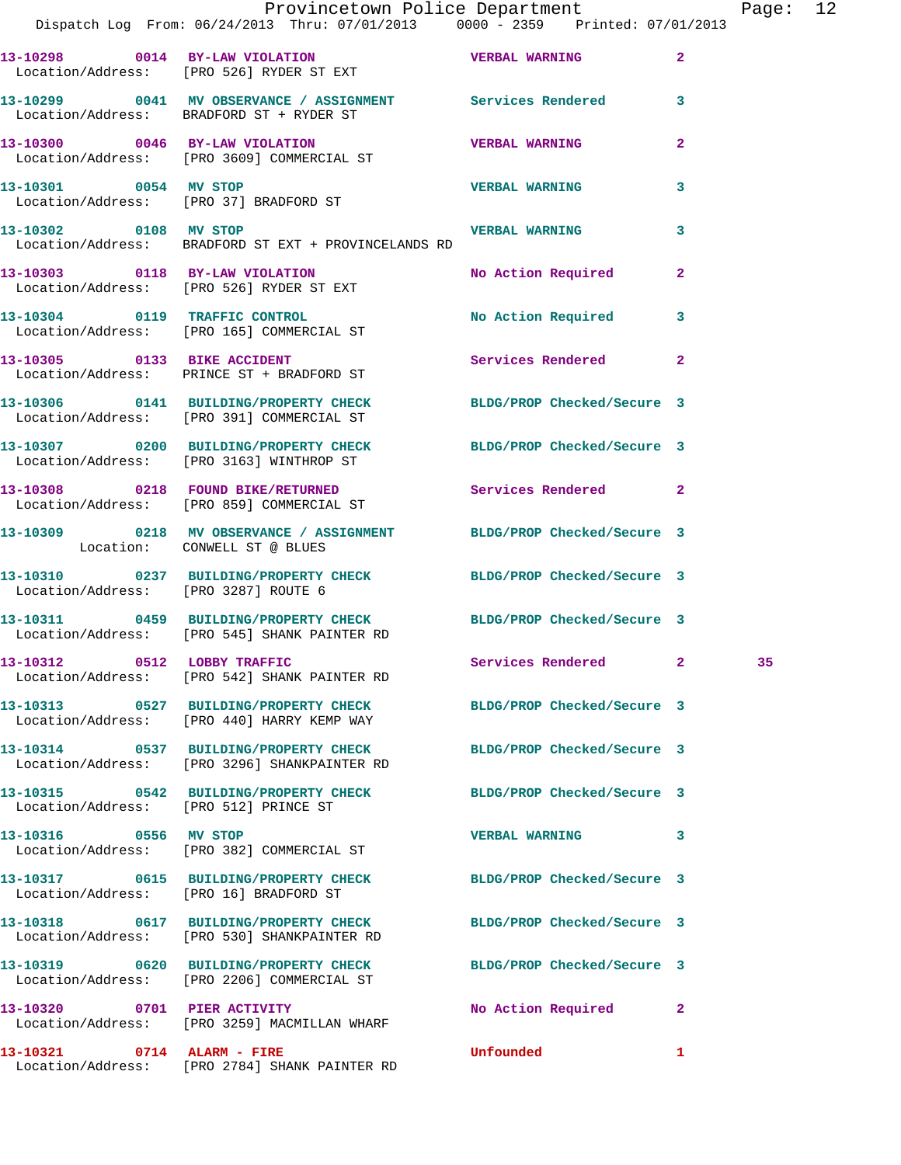|                                        | Provincetown Police Department<br>Dispatch Log From: 06/24/2013 Thru: 07/01/2013 0000 - 2359 Printed: 07/01/2013 |                       |                | Page: 12 |  |
|----------------------------------------|------------------------------------------------------------------------------------------------------------------|-----------------------|----------------|----------|--|
|                                        | 13-10298 0014 BY-LAW VIOLATION VERBAL WARNING<br>Location/Address: [PRO 526] RYDER ST EXT                        |                       | $\mathbf{2}$   |          |  |
|                                        | 13-10299 0041 MV OBSERVANCE / ASSIGNMENT Services Rendered 3<br>Location/Address: BRADFORD ST + RYDER ST         |                       |                |          |  |
|                                        | 13-10300 0046 BY-LAW VIOLATION<br>Location/Address: [PRO 3609] COMMERCIAL ST                                     | <b>VERBAL WARNING</b> | $\mathbf{2}$   |          |  |
| 13-10301 0054 MV STOP                  | Location/Address: [PRO 37] BRADFORD ST                                                                           | <b>VERBAL WARNING</b> | 3              |          |  |
| 13-10302 0108 MV STOP                  | Location/Address: BRADFORD ST EXT + PROVINCELANDS RD                                                             | <b>VERBAL WARNING</b> | 3              |          |  |
|                                        | 13-10303 0118 BY-LAW VIOLATION<br>Location/Address: [PRO 526] RYDER ST EXT                                       | No Action Required    | $\mathbf{2}$   |          |  |
|                                        | 13-10304 0119 TRAFFIC CONTROL<br>Location/Address: [PRO 165] COMMERCIAL ST                                       | No Action Required 3  |                |          |  |
|                                        | 13-10305 0133 BIKE ACCIDENT<br>Location/Address: PRINCE ST + BRADFORD ST                                         | Services Rendered     | $\overline{2}$ |          |  |
|                                        | 13-10306 0141 BUILDING/PROPERTY CHECK BLDG/PROP Checked/Secure 3<br>Location/Address: [PRO 391] COMMERCIAL ST    |                       |                |          |  |
|                                        | 13-10307 0200 BUILDING/PROPERTY CHECK BLDG/PROP Checked/Secure 3<br>Location/Address: [PRO 3163] WINTHROP ST     |                       |                |          |  |
|                                        | 13-10308 0218 FOUND BIKE/RETURNED Services Rendered 2<br>Location/Address: [PRO 859] COMMERCIAL ST               |                       |                |          |  |
| Location: CONWELL ST @ BLUES           | 13-10309 0218 MV OBSERVANCE / ASSIGNMENT BLDG/PROP Checked/Secure 3                                              |                       |                |          |  |
| Location/Address: [PRO 3287] ROUTE 6   | 13-10310 0237 BUILDING/PROPERTY CHECK BLDG/PROP Checked/Secure 3                                                 |                       |                |          |  |
|                                        | 13-10311 0459 BUILDING/PROPERTY CHECK BLDG/PROP Checked/Secure 3<br>Location/Address: [PRO 545] SHANK PAINTER RD |                       |                |          |  |
|                                        | 13-10312 0512 LOBBY TRAFFIC<br>Location/Address: [PRO 542] SHANK PAINTER RD                                      | Services Rendered 2   |                |          |  |
|                                        | 13-10313 0527 BUILDING/PROPERTY CHECK BLDG/PROP Checked/Secure 3<br>Location/Address: [PRO 440] HARRY KEMP WAY   |                       |                |          |  |
|                                        | 13-10314 0537 BUILDING/PROPERTY CHECK BLDG/PROP Checked/Secure 3<br>Location/Address: [PRO 3296] SHANKPAINTER RD |                       |                |          |  |
| Location/Address: [PRO 512] PRINCE ST  | 13-10315 0542 BUILDING/PROPERTY CHECK BLDG/PROP Checked/Secure 3                                                 |                       |                |          |  |
| 13-10316 0556 MV STOP                  | Location/Address: [PRO 382] COMMERCIAL ST                                                                        | VERBAL WARNING 3      |                |          |  |
| Location/Address: [PRO 16] BRADFORD ST | 13-10317 0615 BUILDING/PROPERTY CHECK BLDG/PROP Checked/Secure 3                                                 |                       |                |          |  |
|                                        | 13-10318 0617 BUILDING/PROPERTY CHECK BLDG/PROP Checked/Secure 3<br>Location/Address: [PRO 530] SHANKPAINTER RD  |                       |                |          |  |
|                                        | 13-10319 0620 BUILDING/PROPERTY CHECK BLDG/PROP Checked/Secure 3<br>Location/Address: [PRO 2206] COMMERCIAL ST   |                       |                |          |  |
| 13-10320 0701 PIER ACTIVITY            | Location/Address: [PRO 3259] MACMILLAN WHARF                                                                     | No Action Required    | $\mathbf{2}$   |          |  |
| 13-10321 0714 ALARM - FIRE             |                                                                                                                  | Unfounded             | $\mathbf{1}$   |          |  |

Location/Address: [PRO 2784] SHANK PAINTER RD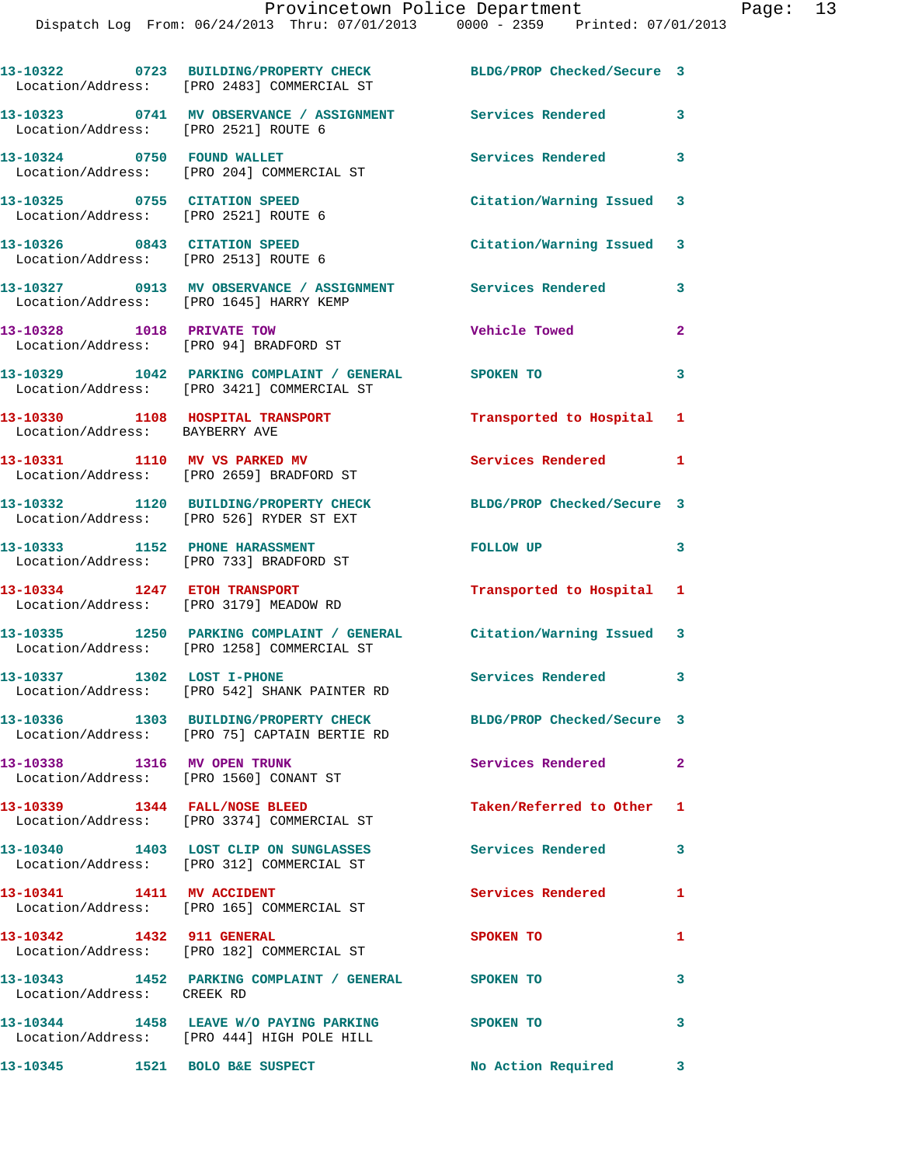**13-10322 0723 BUILDING/PROPERTY CHECK BLDG/PROP Checked/Secure 3**  Location/Address: [PRO 2483] COMMERCIAL ST **13-10323 0741 MV OBSERVANCE / ASSIGNMENT Services Rendered 3**  Location/Address: [PRO 2521] ROUTE 6 **13-10324 0750 FOUND WALLET Services Rendered 3**  Location/Address: [PRO 204] COMMERCIAL ST **13-10325 0755 CITATION SPEED Citation/Warning Issued 3**  Location/Address: [PRO 2521] ROUTE 6 **13-10326 0843 CITATION SPEED Citation/Warning Issued 3**  Location/Address: [PRO 2513] ROUTE 6 **13-10327 0913 MV OBSERVANCE / ASSIGNMENT Services Rendered 3**  Location/Address: [PRO 1645] HARRY KEMP **13-10328 1018 PRIVATE TOW Vehicle Towed 2**  Location/Address: [PRO 94] BRADFORD ST **13-10329 1042 PARKING COMPLAINT / GENERAL SPOKEN TO 3**  Location/Address: [PRO 3421] COMMERCIAL ST **13-10330 1108 HOSPITAL TRANSPORT Transported to Hospital 1**  Location/Address: BAYBERRY AVE **13-10331 1110 MV VS PARKED MV Services Rendered 1**  Location/Address: [PRO 2659] BRADFORD ST **13-10332 1120 BUILDING/PROPERTY CHECK BLDG/PROP Checked/Secure 3**  Location/Address: [PRO 526] RYDER ST EXT **13-10333 1152 PHONE HARASSMENT FOLLOW UP 3**  Location/Address: [PRO 733] BRADFORD ST **13-10334 1247 ETOH TRANSPORT Transported to Hospital 1**  Location/Address: [PRO 3179] MEADOW RD **13-10335 1250 PARKING COMPLAINT / GENERAL Citation/Warning Issued 3**  Location/Address: [PRO 1258] COMMERCIAL ST **13-10337 1302 LOST I-PHONE Services Rendered 3**  Location/Address: [PRO 542] SHANK PAINTER RD **13-10336 1303 BUILDING/PROPERTY CHECK BLDG/PROP Checked/Secure 3**  Location/Address: [PRO 75] CAPTAIN BERTIE RD **13-10338 1316 MV OPEN TRUNK Services Rendered 2**  Location/Address: [PRO 1560] CONANT ST **13-10339 1344 FALL/NOSE BLEED Taken/Referred to Other 1**  Location/Address: [PRO 3374] COMMERCIAL ST **13-10340 1403 LOST CLIP ON SUNGLASSES Services Rendered 3**  Location/Address: [PRO 312] COMMERCIAL ST 13-10341 1411 MV ACCIDENT Services Rendered 1 Location/Address: [PRO 165] COMMERCIAL ST **13-10342 1432 911 GENERAL SPOKEN TO 1**  Location/Address: [PRO 182] COMMERCIAL ST **13-10343 1452 PARKING COMPLAINT / GENERAL SPOKEN TO 3**  Location/Address: CREEK RD **13-10344 1458 LEAVE W/O PAYING PARKING SPOKEN TO 3**  Location/Address: [PRO 444] HIGH POLE HILL **13-10345 1521 BOLO B&E SUSPECT No Action Required 3**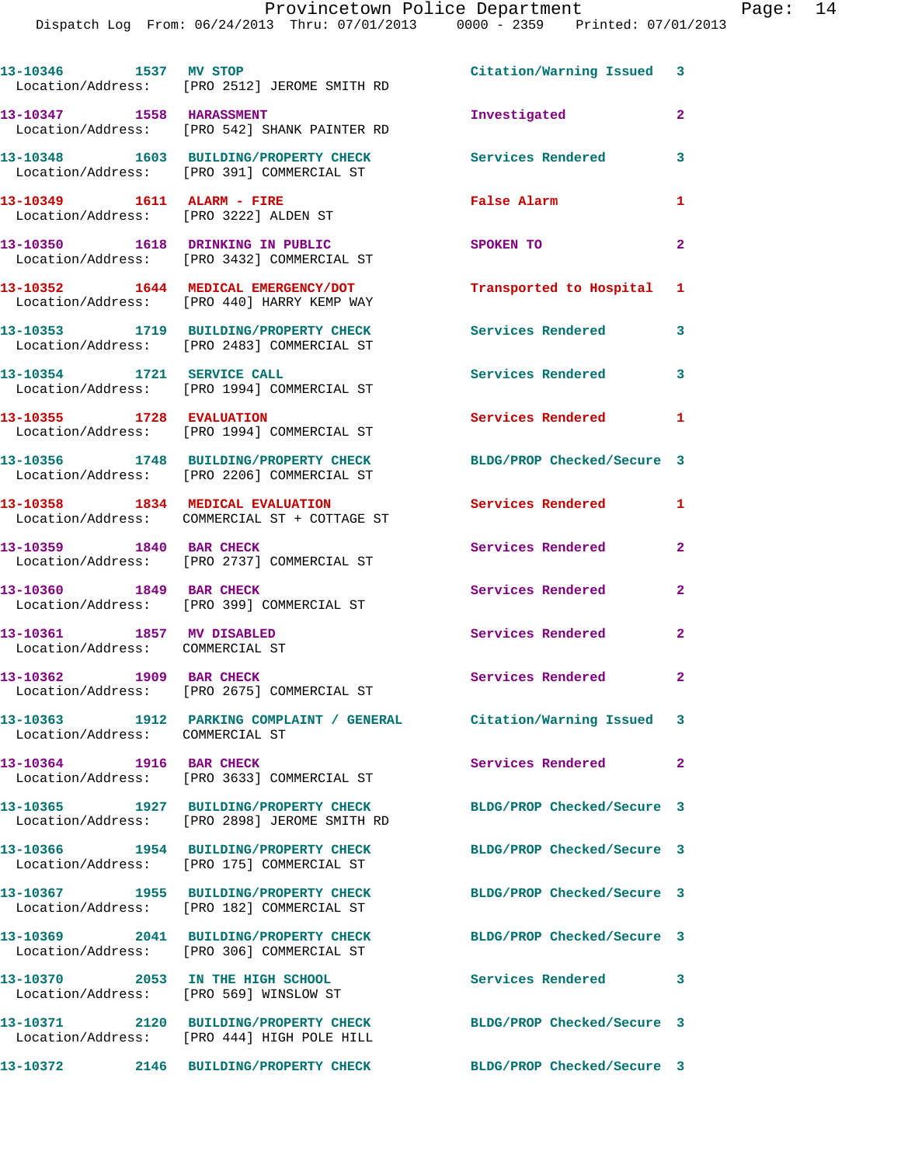| 13-10346 1537 MV STOP                                                      | Location/Address: [PRO 2512] JEROME SMITH RD                                                                   | Citation/Warning Issued 3  |                |
|----------------------------------------------------------------------------|----------------------------------------------------------------------------------------------------------------|----------------------------|----------------|
| 13-10347 1558 HARASSMENT                                                   | Location/Address: [PRO 542] SHANK PAINTER RD                                                                   | Investigated               | $\overline{2}$ |
|                                                                            | 13-10348 1603 BUILDING/PROPERTY CHECK<br>Location/Address: [PRO 391] COMMERCIAL ST                             | <b>Services Rendered</b>   | 3              |
| 13-10349    1611    ALARM - FIRE                                           | Location/Address: [PRO 3222] ALDEN ST                                                                          | False Alarm                | $\mathbf{1}$   |
|                                                                            | 13-10350 1618 DRINKING IN PUBLIC<br>Location/Address: [PRO 3432] COMMERCIAL ST                                 | SPOKEN TO                  | $\mathbf{2}$   |
|                                                                            | 13-10352 1644 MEDICAL EMERGENCY/DOT<br>Location/Address: [PRO 440] HARRY KEMP WAY                              | Transported to Hospital 1  |                |
|                                                                            | 13-10353 1719 BUILDING/PROPERTY CHECK<br>Location/Address: [PRO 2483] COMMERCIAL ST                            | Services Rendered          | 3              |
| 13-10354 1721 SERVICE CALL                                                 | Location/Address: [PRO 1994] COMMERCIAL ST                                                                     | Services Rendered          | 3              |
| 13-10355 1728 EVALUATION                                                   | Location/Address: [PRO 1994] COMMERCIAL ST                                                                     | <b>Services Rendered</b>   | $\mathbf{1}$   |
|                                                                            | 13-10356 1748 BUILDING/PROPERTY CHECK<br>Location/Address: [PRO 2206] COMMERCIAL ST                            | BLDG/PROP Checked/Secure 3 |                |
|                                                                            | 13-10358 1834 MEDICAL EVALUATION<br>Location/Address: COMMERCIAL ST + COTTAGE ST                               | Services Rendered          | 1              |
| 13-10359 1840 BAR CHECK                                                    | Location/Address: [PRO 2737] COMMERCIAL ST                                                                     | Services Rendered          | $\overline{2}$ |
| 13-10360 1849 BAR CHECK                                                    | Location/Address: [PRO 399] COMMERCIAL ST                                                                      | Services Rendered          | $\overline{2}$ |
| 13-10361 1857 MV DISABLED<br>Location/Address: COMMERCIAL ST               |                                                                                                                | Services Rendered          | $\mathbf{2}$   |
| 13-10362 1909 BAR CHECK                                                    | Location/Address: [PRO 2675] COMMERCIAL ST                                                                     | Services Rendered          | $\overline{2}$ |
| 13-10363<br>Location/Address: COMMERCIAL ST                                | 1912 PARKING COMPLAINT / GENERAL Citation/Warning Issued 3                                                     |                            |                |
| 13-10364 1916 BAR CHECK                                                    | Location/Address: [PRO 3633] COMMERCIAL ST                                                                     | Services Rendered          | $\mathbf{2}$   |
|                                                                            | 13-10365 1927 BUILDING/PROPERTY CHECK<br>Location/Address: [PRO 2898] JEROME SMITH RD                          | BLDG/PROP Checked/Secure 3 |                |
|                                                                            | 13-10366  1954 BUILDING/PROPERTY CHECK<br>Location/Address: [PRO 175] COMMERCIAL ST                            | BLDG/PROP Checked/Secure 3 |                |
|                                                                            | 13-10367 1955 BUILDING/PROPERTY CHECK<br>Location/Address: [PRO 182] COMMERCIAL ST                             | BLDG/PROP Checked/Secure 3 |                |
|                                                                            | 13-10369 2041 BUILDING/PROPERTY CHECK<br>Location/Address: [PRO 306] COMMERCIAL ST                             | BLDG/PROP Checked/Secure 3 |                |
| 13-10370 2053 IN THE HIGH SCHOOL<br>Location/Address: [PRO 569] WINSLOW ST |                                                                                                                | Services Rendered 3        |                |
|                                                                            | 13-10371 2120 BUILDING/PROPERTY CHECK BLDG/PROP Checked/Secure 3<br>Location/Address: [PRO 444] HIGH POLE HILL |                            |                |
|                                                                            | 13-10372 2146 BUILDING/PROPERTY CHECK                                                                          | BLDG/PROP Checked/Secure 3 |                |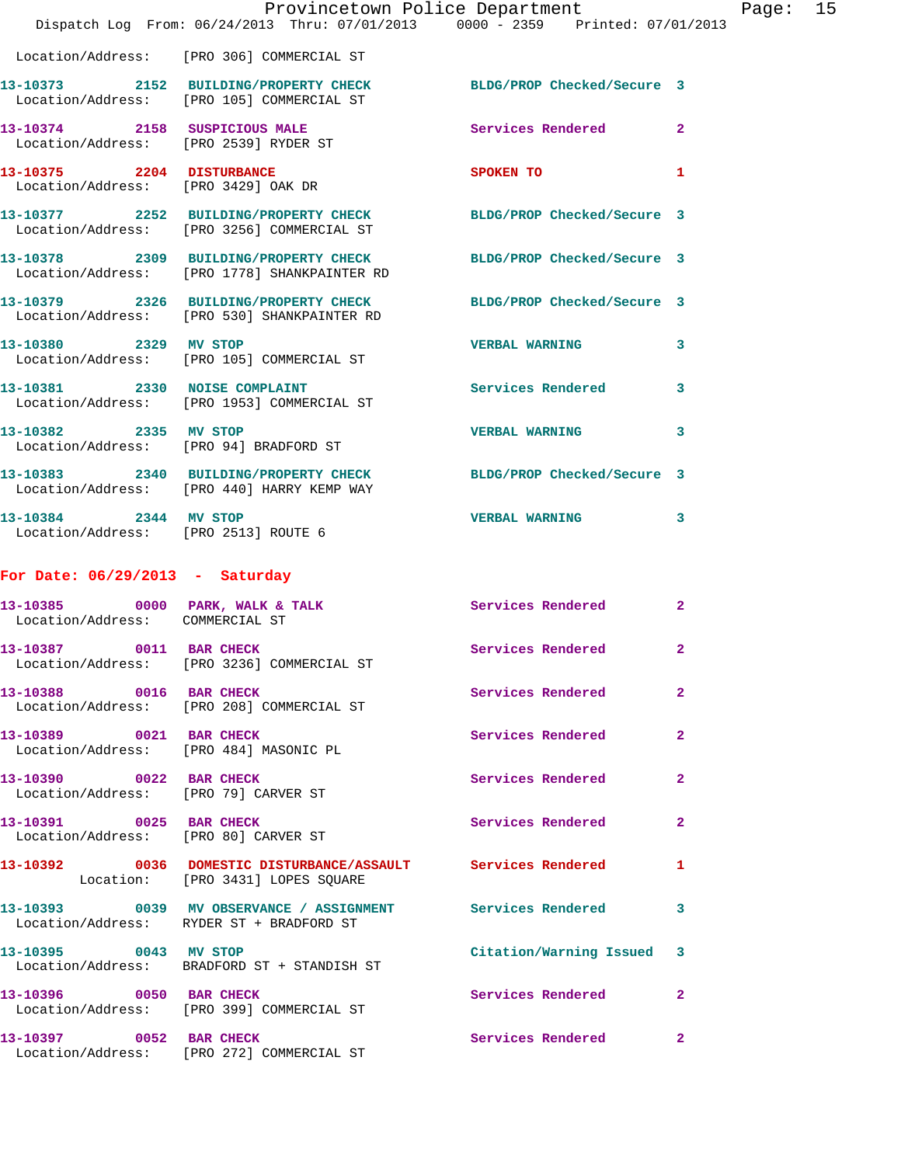|                                                                 | Dispatch Log From: 06/24/2013 Thru: 07/01/2013 0000 - 2359 Printed: 07/01/2013                                   | Provincetown Police Department                | Page: 15     |  |
|-----------------------------------------------------------------|------------------------------------------------------------------------------------------------------------------|-----------------------------------------------|--------------|--|
|                                                                 | Location/Address: [PRO 306] COMMERCIAL ST                                                                        |                                               |              |  |
|                                                                 | 13-10373 2152 BUILDING/PROPERTY CHECK<br>Location/Address: [PRO 105] COMMERCIAL ST                               | BLDG/PROP Checked/Secure 3                    |              |  |
| Location/Address: [PRO 2539] RYDER ST                           | 13-10374 2158 SUSPICIOUS MALE                                                                                    | Services Rendered 2                           |              |  |
| 13-10375 2204 DISTURBANCE                                       | Location/Address: [PRO 3429] OAK DR                                                                              | SPOKEN TO AND THE SPOKEN TO<br>$\blacksquare$ |              |  |
|                                                                 | 13-10377 2252 BUILDING/PROPERTY CHECK BLDG/PROP Checked/Secure 3<br>Location/Address: [PRO 3256] COMMERCIAL ST   |                                               |              |  |
|                                                                 | 13-10378 2309 BUILDING/PROPERTY CHECK BLDG/PROP Checked/Secure 3<br>Location/Address: [PRO 1778] SHANKPAINTER RD |                                               |              |  |
|                                                                 | 13-10379 2326 BUILDING/PROPERTY CHECK BLDG/PROP Checked/Secure 3<br>Location/Address: [PRO 530] SHANKPAINTER RD  |                                               |              |  |
| 13-10380 2329 MV STOP                                           | Location/Address: [PRO 105] COMMERCIAL ST                                                                        | <b>VERBAL WARNING</b>                         | 3            |  |
|                                                                 | 13-10381 2330 NOISE COMPLAINT<br>Location/Address: [PRO 1953] COMMERCIAL ST                                      | <b>Services Rendered</b>                      | $\mathbf{3}$ |  |
| 13-10382 2335 MV STOP                                           | Location/Address: [PRO 94] BRADFORD ST                                                                           | <b>VERBAL WARNING</b>                         | 3            |  |
|                                                                 | 13-10383 2340 BUILDING/PROPERTY CHECK BLDG/PROP Checked/Secure 3<br>Location/Address: [PRO 440] HARRY KEMP WAY   |                                               |              |  |
| 13-10384 2344 MV STOP<br>Location/Address: [PRO 2513] ROUTE 6   |                                                                                                                  | <b>VERBAL WARNING</b>                         | $\mathbf{3}$ |  |
| For Date: $06/29/2013$ - Saturday                               |                                                                                                                  |                                               |              |  |
| Location/Address: COMMERCIAL ST                                 | 13-10385 0000 PARK, WALK & TALK                                                                                  | Services Rendered                             | $\mathbf{2}$ |  |
| 13-10387 0011 BAR CHECK                                         | Location/Address: [PRO 3236] COMMERCIAL ST                                                                       | Services Rendered 2                           |              |  |
| 13-10388 0016 BAR CHECK                                         | Location/Address: [PRO 208] COMMERCIAL ST                                                                        | Services Rendered                             | $\mathbf{2}$ |  |
| 13-10389 0021 BAR CHECK                                         | Location/Address: [PRO 484] MASONIC PL                                                                           | Services Rendered                             | $\mathbf{2}$ |  |
| 13-10390 0022 BAR CHECK                                         | Location/Address: [PRO 79] CARVER ST                                                                             | Services Rendered 2                           |              |  |
| 13-10391 0025 BAR CHECK<br>Location/Address: [PRO 80] CARVER ST |                                                                                                                  | Services Rendered                             | $\mathbf{2}$ |  |
|                                                                 | 13-10392 0036 DOMESTIC DISTURBANCE/ASSAULT Services Rendered<br>Location: [PRO 3431] LOPES SQUARE                |                                               | $\mathbf{1}$ |  |
|                                                                 | 13-10393 0039 MV OBSERVANCE / ASSIGNMENT Services Rendered<br>Location/Address: RYDER ST + BRADFORD ST           |                                               | 3            |  |
| 13-10395 0043 MV STOP                                           | Location/Address: BRADFORD ST + STANDISH ST                                                                      | Citation/Warning Issued 3                     |              |  |
|                                                                 | 13-10396 0050 BAR CHECK<br>Location/Address: [PRO 399] COMMERCIAL ST                                             | <b>Services Rendered</b>                      | $\mathbf{2}$ |  |
| 13-10397 0052 BAR CHECK                                         | Location/Address: [PRO 272] COMMERCIAL ST                                                                        | Services Rendered 2                           |              |  |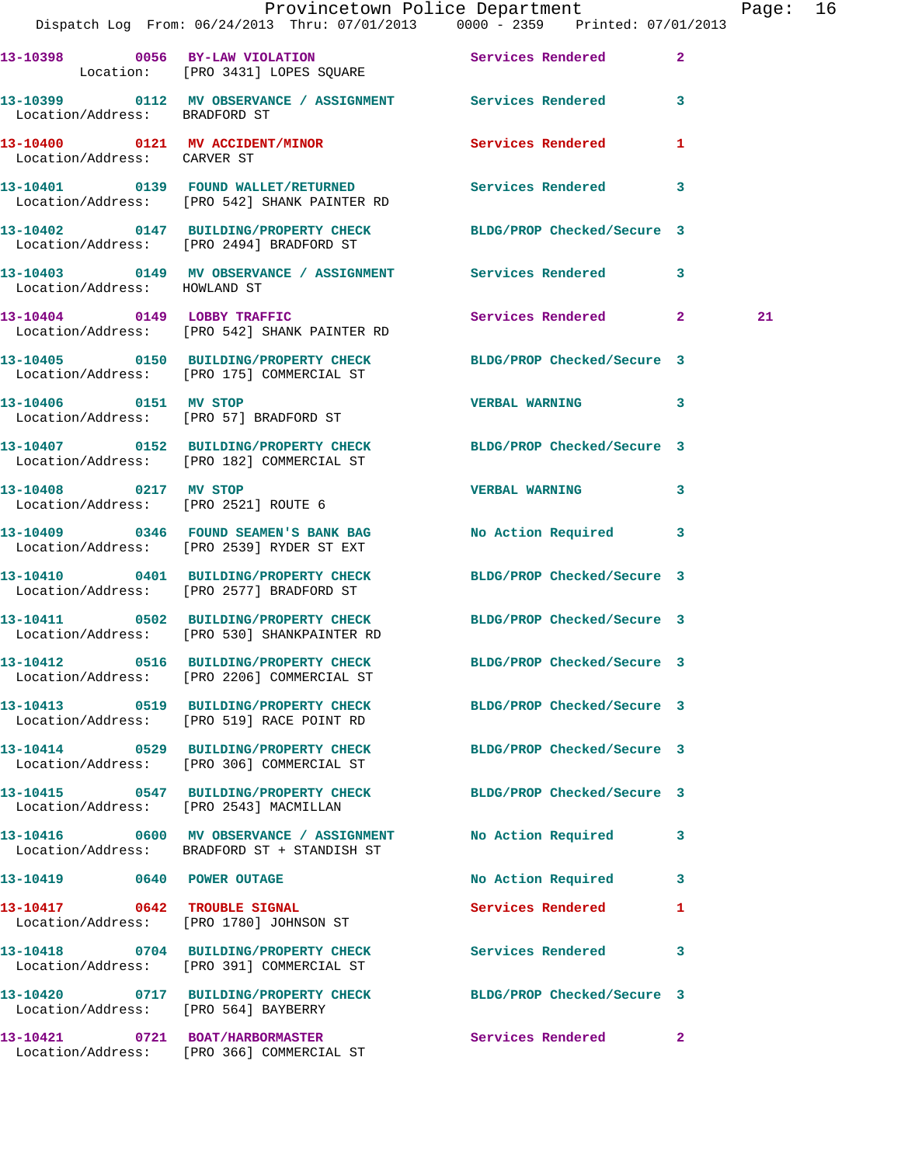|                                        | Provincetown Police Department Fage: 16<br>Dispatch Log From: 06/24/2013 Thru: 07/01/2013   0000 - 2359   Printed: 07/01/2013 |                            |              |
|----------------------------------------|-------------------------------------------------------------------------------------------------------------------------------|----------------------------|--------------|
|                                        | 13-10398 0056 BY-LAW VIOLATION Services Rendered<br>Location: [PRO 3431] LOPES SQUARE                                         |                            | $\mathbf{2}$ |
| Location/Address: BRADFORD ST          | 13-10399 0112 MV OBSERVANCE / ASSIGNMENT Services Rendered 3                                                                  |                            |              |
| Location/Address: CARVER ST            | 13-10400  0121 MV ACCIDENT/MINOR  Services Rendered                                                                           |                            | 1            |
|                                        | 13-10401 0139 FOUND WALLET/RETURNED Services Rendered<br>Location/Address: [PRO 542] SHANK PAINTER RD                         |                            | 3            |
|                                        | 13-10402 0147 BUILDING/PROPERTY CHECK BLDG/PROP Checked/Secure 3<br>Location/Address: [PRO 2494] BRADFORD ST                  |                            |              |
| Location/Address: HOWLAND ST           | 13-10403 0149 MV OBSERVANCE / ASSIGNMENT Services Rendered                                                                    |                            | $\mathbf{3}$ |
|                                        | 13-10404 0149 LOBBY TRAFFIC<br>Location/Address: [PRO 542] SHANK PAINTER RD                                                   | Services Rendered 2        | 21           |
|                                        | 13-10405 0150 BUILDING/PROPERTY CHECK BLDG/PROP Checked/Secure 3<br>Location/Address: [PRO 175] COMMERCIAL ST                 |                            |              |
| 13-10406 0151 MV STOP                  | Location/Address: [PRO 57] BRADFORD ST                                                                                        | VERBAL WARNING 3           |              |
|                                        | 13-10407 0152 BUILDING/PROPERTY CHECK BLDG/PROP Checked/Secure 3<br>Location/Address: [PRO 182] COMMERCIAL ST                 |                            |              |
| 13-10408 0217 MV STOP                  | Location/Address: [PRO 2521] ROUTE 6                                                                                          | VERBAL WARNING 3           |              |
|                                        | 13-10409 0346 FOUND SEAMEN'S BANK BAG No Action Required 3<br>Location/Address: [PRO 2539] RYDER ST EXT                       |                            |              |
|                                        | 13-10410 0401 BUILDING/PROPERTY CHECK BLDG/PROP Checked/Secure 3<br>Location/Address: [PRO 2577] BRADFORD ST                  |                            |              |
|                                        | 13-10411 0502 BUILDING/PROPERTY CHECK BLDG/PROP Checked/Secure 3<br>Location/Address: [PRO 530] SHANKPAINTER RD               |                            |              |
|                                        | 13-10412 0516 BUILDING/PROPERTY CHECK<br>Location/Address: [PRO 2206] COMMERCIAL ST                                           | BLDG/PROP Checked/Secure 3 |              |
|                                        | 13-10413 0519 BUILDING/PROPERTY CHECK BLDG/PROP Checked/Secure 3<br>Location/Address: [PRO 519] RACE POINT RD                 |                            |              |
|                                        | 13-10414 0529 BUILDING/PROPERTY CHECK<br>Location/Address: [PRO 306] COMMERCIAL ST                                            | BLDG/PROP Checked/Secure 3 |              |
| Location/Address: [PRO 2543] MACMILLAN | 13-10415 0547 BUILDING/PROPERTY CHECK BLDG/PROP Checked/Secure 3                                                              |                            |              |
|                                        | 13-10416  0600 MV OBSERVANCE / ASSIGNMENT<br>Location/Address: BRADFORD ST + STANDISH ST                                      | No Action Required 3       |              |
|                                        | 13-10419 0640 POWER OUTAGE                                                                                                    | No Action Required         | 3            |
| 13-10417 0642 TROUBLE SIGNAL           | Location/Address: [PRO 1780] JOHNSON ST                                                                                       | Services Rendered          | 1            |
|                                        | 13-10418 0704 BUILDING/PROPERTY CHECK<br>Location/Address: [PRO 391] COMMERCIAL ST                                            | <b>Services Rendered</b>   | 3            |
| Location/Address: [PRO 564] BAYBERRY   | 13-10420 0717 BUILDING/PROPERTY CHECK BLDG/PROP Checked/Secure 3                                                              |                            |              |
|                                        | 13-10421 0721 BOAT/HARBORMASTER<br>Location/Address: [PRO 366] COMMERCIAL ST                                                  | Services Rendered          | $\mathbf{2}$ |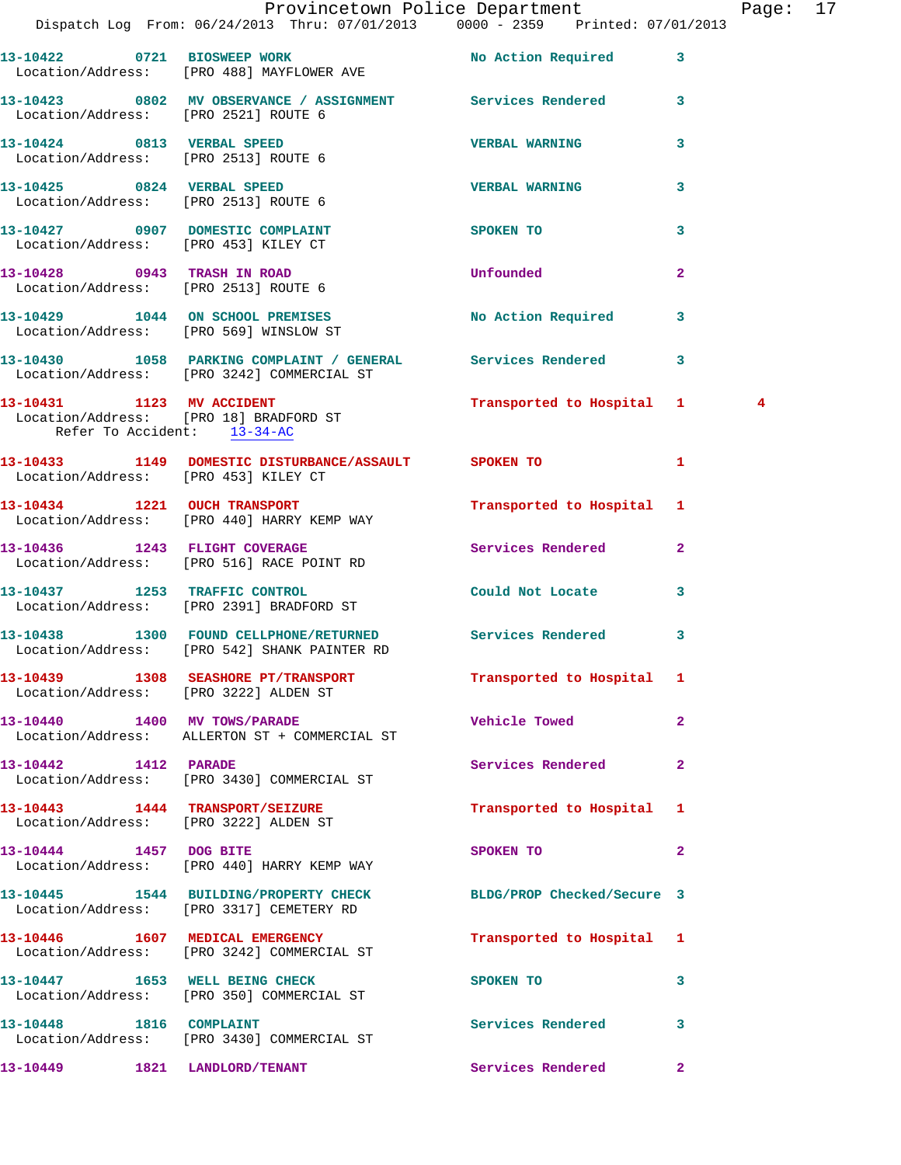|                                                                     | Dispatch Log From: 06/24/2013 Thru: 07/01/2013 0000 - 2359 Printed: 07/01/2013                             | Provincetown Police Department |              | Page: 17 |  |
|---------------------------------------------------------------------|------------------------------------------------------------------------------------------------------------|--------------------------------|--------------|----------|--|
|                                                                     | 13-10422 0721 BIOSWEEP WORK                                                                                | No Action Required 3           |              |          |  |
| Location/Address: [PRO 2521] ROUTE 6                                | Location/Address: [PRO 488] MAYFLOWER AVE<br>13-10423 0802 MV OBSERVANCE / ASSIGNMENT Services Rendered 3  |                                |              |          |  |
|                                                                     |                                                                                                            | <b>VERBAL WARNING</b>          | 3            |          |  |
|                                                                     | 13-10425 0824 VERBAL SPEED                                                                                 | <b>VERBAL WARNING</b>          | 3            |          |  |
| Location/Address: [PRO 2513] ROUTE 6                                | 13-10427 0907 DOMESTIC COMPLAINT                                                                           | SPOKEN TO                      | 3            |          |  |
| Location/Address: [PRO 453] KILEY CT<br>13-10428 0943 TRASH IN ROAD |                                                                                                            | Unfounded                      | $\mathbf{2}$ |          |  |
| Location/Address: [PRO 2513] ROUTE 6                                | 13-10429 1044 ON SCHOOL PREMISES No Action Required 3                                                      |                                |              |          |  |
|                                                                     | Location/Address: [PRO 569] WINSLOW ST<br>13-10430 1058 PARKING COMPLAINT / GENERAL Services Rendered 3    |                                |              |          |  |
|                                                                     | Location/Address: [PRO 3242] COMMERCIAL ST<br>13-10431 1123 MV ACCIDENT                                    | Transported to Hospital 1      |              | 4        |  |
| Refer To Accident: 13-34-AC                                         | Location/Address: [PRO 18] BRADFORD ST                                                                     |                                |              |          |  |
|                                                                     | 13-10433 1149 DOMESTIC DISTURBANCE/ASSAULT SPOKEN TO 1<br>Location/Address: [PRO 453] KILEY CT             |                                |              |          |  |
|                                                                     | 13-10434 1221 OUCH TRANSPORT<br>Location/Address: [PRO 440] HARRY KEMP WAY                                 | Transported to Hospital 1      |              |          |  |
|                                                                     | 13-10436 1243 FLIGHT COVERAGE<br>Location/Address: [PRO 516] RACE POINT RD                                 | Services Rendered 2            |              |          |  |
|                                                                     | 13-10437 1253 TRAFFIC CONTROL<br>Location/Address: [PRO 2391] BRADFORD ST                                  | Could Not Locate               | $\mathbf{3}$ |          |  |
|                                                                     | 13-10438 1300 FOUND CELLPHONE/RETURNED Services Rendered 3<br>Location/Address: [PRO 542] SHANK PAINTER RD |                                |              |          |  |
|                                                                     | 13-10439 1308 SEASHORE PT/TRANSPORT<br>Location/Address: [PRO 3222] ALDEN ST                               | Transported to Hospital 1      |              |          |  |
|                                                                     | 13-10440 1400 MV TOWS/PARADE<br>Location/Address: ALLERTON ST + COMMERCIAL ST                              | <b>Vehicle Towed</b>           | $\mathbf{2}$ |          |  |
| 13-10442 1412 PARADE                                                | Location/Address: [PRO 3430] COMMERCIAL ST                                                                 | Services Rendered              | $\mathbf{2}$ |          |  |
|                                                                     | 13-10443    1444 TRANSPORT/SEIZURE<br>Location/Address: [PRO 3222] ALDEN ST                                | Transported to Hospital 1      |              |          |  |
| 13-10444 1457 DOG BITE                                              | Location/Address: [PRO 440] HARRY KEMP WAY                                                                 | SPOKEN TO                      | $\mathbf{2}$ |          |  |
|                                                                     | 13-10445 1544 BUILDING/PROPERTY CHECK<br>Location/Address: [PRO 3317] CEMETERY RD                          | BLDG/PROP Checked/Secure 3     |              |          |  |
|                                                                     | 13-10446 1607 MEDICAL EMERGENCY<br>Location/Address: [PRO 3242] COMMERCIAL ST                              | Transported to Hospital 1      |              |          |  |
|                                                                     | 13-10447 1653 WELL BEING CHECK<br>Location/Address: [PRO 350] COMMERCIAL ST                                | SPOKEN TO                      | 3            |          |  |
|                                                                     | 13-10448 1816 COMPLAINT<br>Location/Address: [PRO 3430] COMMERCIAL ST                                      | Services Rendered              | 3            |          |  |
| 13-10449 1821 LANDLORD/TENANT                                       |                                                                                                            | Services Rendered 2            |              |          |  |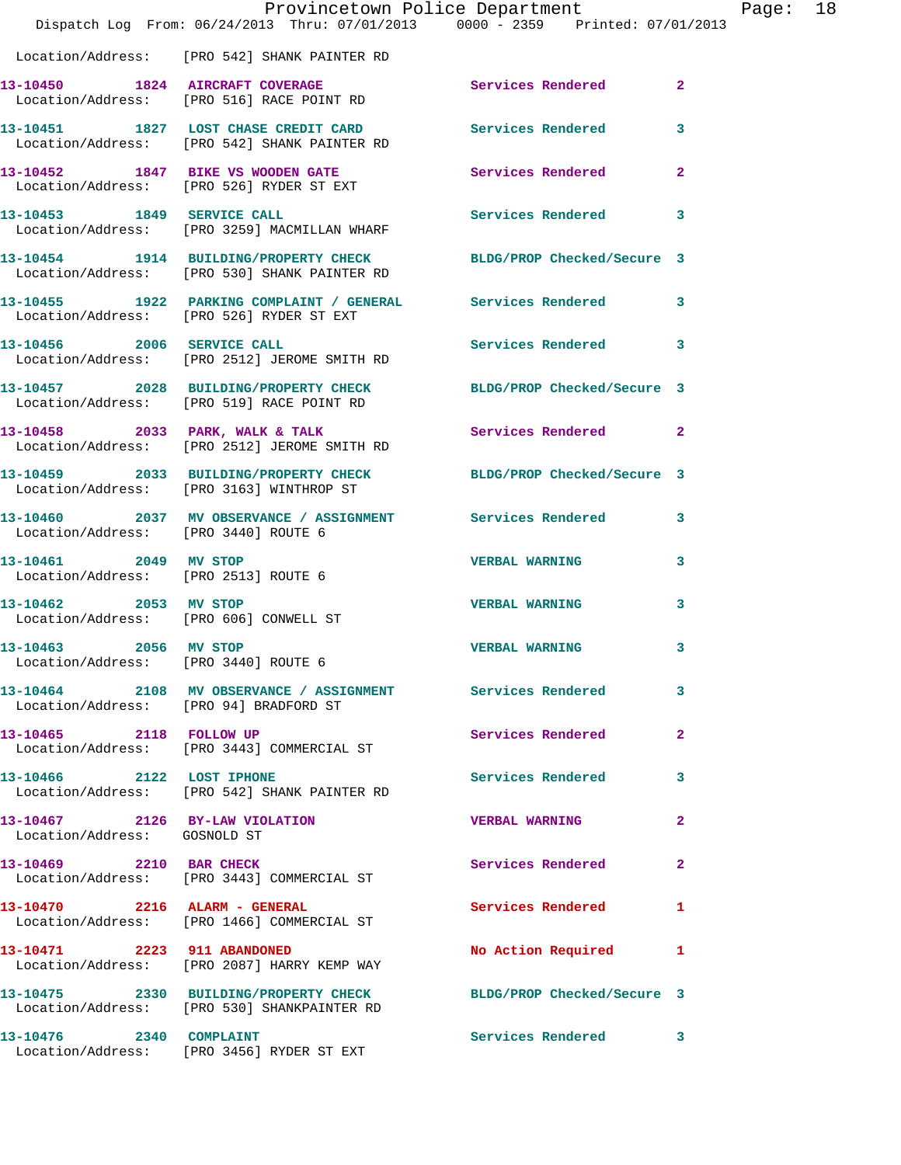|                                                                 | Provincetown Police Department<br>Dispatch Log From: 06/24/2013 Thru: 07/01/2013 0000 - 2359 Printed: 07/01/2013 |                            |                |
|-----------------------------------------------------------------|------------------------------------------------------------------------------------------------------------------|----------------------------|----------------|
|                                                                 | Location/Address: [PRO 542] SHANK PAINTER RD                                                                     |                            |                |
|                                                                 | 13-10450 1824 AIRCRAFT COVERAGE<br>Location/Address: [PRO 516] RACE POINT RD                                     | <b>Services Rendered</b>   | $\overline{2}$ |
|                                                                 | 13-10451 1827 LOST CHASE CREDIT CARD Services Rendered<br>Location/Address: [PRO 542] SHANK PAINTER RD           |                            | 3              |
|                                                                 | 13-10452 1847 BIKE VS WOODEN GATE<br>Location/Address: [PRO 526] RYDER ST EXT                                    | <b>Services Rendered</b>   | 2              |
| 13-10453 1849 SERVICE CALL                                      | Location/Address: [PRO 3259] MACMILLAN WHARF                                                                     | Services Rendered          | 3              |
|                                                                 | 13-10454 1914 BUILDING/PROPERTY CHECK BLDG/PROP Checked/Secure 3<br>Location/Address: [PRO 530] SHANK PAINTER RD |                            |                |
|                                                                 | 13-10455 1922 PARKING COMPLAINT / GENERAL Services Rendered<br>Location/Address: [PRO 526] RYDER ST EXT          |                            | 3              |
|                                                                 | 13-10456 2006 SERVICE CALL<br>Location/Address: [PRO 2512] JEROME SMITH RD                                       | Services Rendered          | 3              |
|                                                                 | 13-10457 2028 BUILDING/PROPERTY CHECK BLDG/PROP Checked/Secure 3<br>Location/Address: [PRO 519] RACE POINT RD    |                            |                |
|                                                                 | 13-10458 2033 PARK, WALK & TALK<br>Location/Address: [PRO 2512] JEROME SMITH RD                                  | <b>Services Rendered</b>   | $\overline{2}$ |
|                                                                 | 13-10459 2033 BUILDING/PROPERTY CHECK BLDG/PROP Checked/Secure 3<br>Location/Address: [PRO 3163] WINTHROP ST     |                            |                |
| Location/Address: [PRO 3440] ROUTE 6                            | 13-10460 2037 MV OBSERVANCE / ASSIGNMENT Services Rendered                                                       |                            | 3              |
| 13-10461 2049 MV STOP<br>Location/Address: [PRO 2513] ROUTE 6   |                                                                                                                  | <b>VERBAL WARNING</b>      | 3              |
| 13-10462 2053 MV STOP<br>Location/Address: [PRO 606] CONWELL ST |                                                                                                                  | <b>VERBAL WARNING</b>      | 3              |
| 13-10463<br>2056<br>Location/Address: [PRO 3440] ROUTE 6        | MV STOP                                                                                                          | <b>VERBAL WARNING</b>      | 3              |
|                                                                 | 13-10464 2108 MV OBSERVANCE / ASSIGNMENT Services Rendered<br>Location/Address: [PRO 94] BRADFORD ST             |                            | 3              |
| 13-10465 2118 FOLLOW UP                                         | Location/Address: [PRO 3443] COMMERCIAL ST                                                                       | Services Rendered          | $\mathbf{2}$   |
| 13-10466 2122 LOST IPHONE                                       | Location/Address: [PRO 542] SHANK PAINTER RD                                                                     | Services Rendered          | 3              |
| 13-10467 2126 BY-LAW VIOLATION<br>Location/Address: GOSNOLD ST  |                                                                                                                  | <b>VERBAL WARNING</b>      | $\mathbf{2}$   |
| 13-10469 2210 BAR CHECK                                         | Location/Address: [PRO 3443] COMMERCIAL ST                                                                       | Services Rendered          | $\mathbf{2}$   |
|                                                                 | 13-10470 2216 ALARM - GENERAL<br>Location/Address: [PRO 1466] COMMERCIAL ST                                      | Services Rendered          | 1              |
| 13-10471 2223 911 ABANDONED                                     | Location/Address: [PRO 2087] HARRY KEMP WAY                                                                      | No Action Required         | 1              |
|                                                                 | 13-10475 2330 BUILDING/PROPERTY CHECK<br>Location/Address: [PRO 530] SHANKPAINTER RD                             | BLDG/PROP Checked/Secure 3 |                |
| 13-10476 2340 COMPLAINT                                         | Location/Address: [PRO 3456] RYDER ST EXT                                                                        | Services Rendered 3        |                |

Page: 18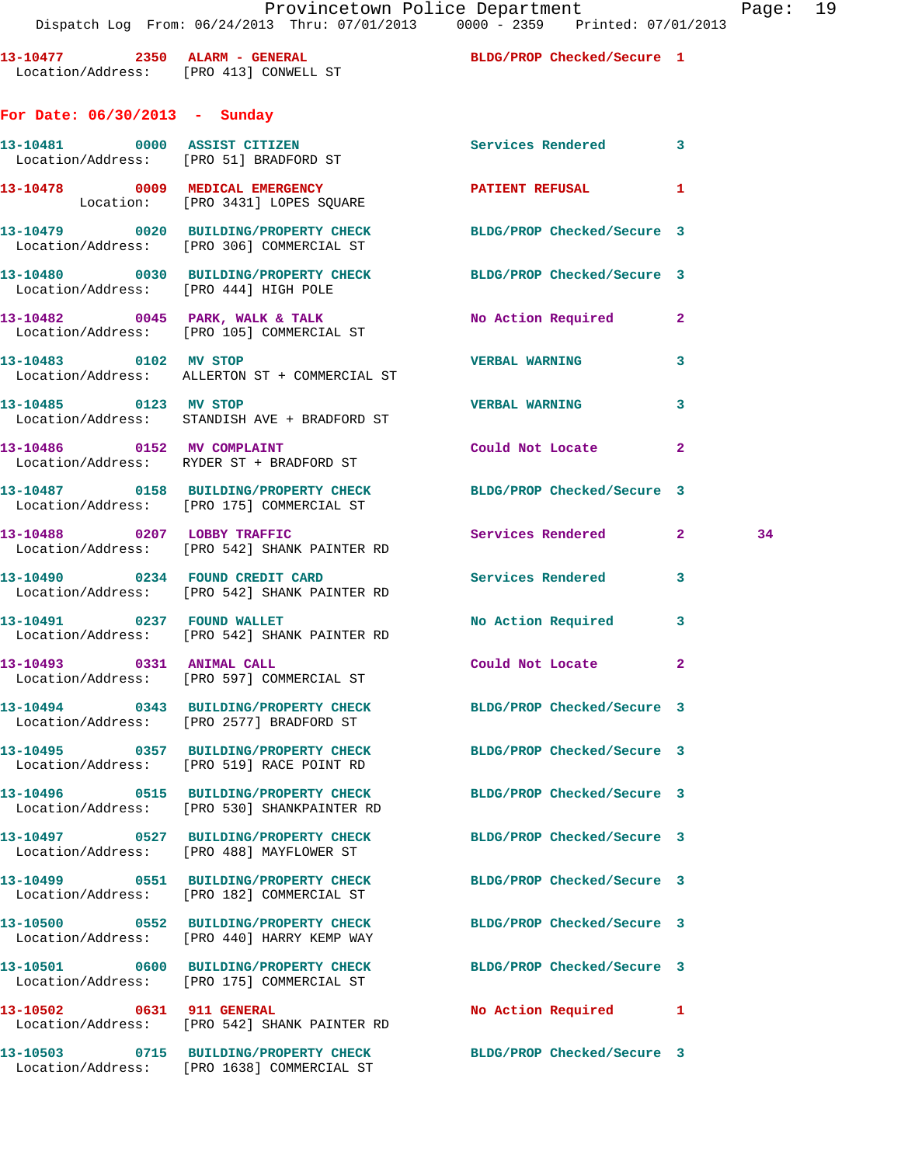| 13-10477 | 2350<br>Location/Address:     | ALARM - GENERAL | FRO 4131 CONWELL ST  |                         |
|----------|-------------------------------|-----------------|----------------------|-------------------------|
|          | For Date: 06/30/2013 - Sunday |                 |                      |                         |
| 13-10481 | 0000<br>Location/Address:     | ASSIST CITIZEN  | [PRO 51] BRADFORD ST |                         |
| 13-10478 | 0009<br>Location:             |                 | MEDICAL EMERGENCY    | [PRO 3431] LOPES SOUARE |

Location/Address: [PRO 306] COMMERCIAL ST

Location/Address: [PRO 105] COMMERCIAL ST

Location/Address: ALLERTON ST + COMMERCIAL ST

Location/Address: STANDISH AVE + BRADFORD ST

Location/Address: RYDER ST + BRADFORD ST

Location/Address: [PRO 444] HIGH POLE

BLDG/PROP Checked/Secure 1

**13-105 Services Rendered 3** 

PATIENT REFUSAL 1

**13-10479 0020 BUILDING/PROPERTY CHECK BLDG/PROP Checked/Secure 3** 

**13-10480 0030 BUILDING/PROPERTY CHECK BLDG/PROP Checked/Secure 3** 

13-10482 0045 PARK, WALK & TALK No Action Required 2

**13-10483 0102 MV STOP VERBAL WARNING 3** 

**13-10485 0123 MV STOP VERBAL WARNING 3** 

**13-10486 0152 MV COMPLAINT Could Not Locate 2** 

|                           | 13-10487 0158 BUILDING/PROPERTY CHECK BLDG/PROP Checked/Secure 3<br>Location/Address: [PRO 175] COMMERCIAL ST   |                            |                         |    |
|---------------------------|-----------------------------------------------------------------------------------------------------------------|----------------------------|-------------------------|----|
|                           | 13-10488 0207 LOBBY TRAFFIC<br>Location/Address: [PRO 542] SHANK PAINTER RD                                     | Services Rendered          | 2 <sup>1</sup>          | 34 |
|                           | 13-10490 0234 FOUND CREDIT CARD<br>Location/Address: [PRO 542] SHANK PAINTER RD                                 | <b>Services Rendered</b>   | 3                       |    |
|                           | 13-10491 0237 FOUND WALLET<br>Location/Address: [PRO 542] SHANK PAINTER RD                                      | No Action Required         | $\overline{\mathbf{3}}$ |    |
| 13-10493 0331 ANIMAL CALL | Location/Address: [PRO 597] COMMERCIAL ST                                                                       | Could Not Locate           | $\overline{2}$          |    |
|                           | 13-10494 0343 BUILDING/PROPERTY CHECK BLDG/PROP Checked/Secure 3<br>Location/Address: [PRO 2577] BRADFORD ST    |                            |                         |    |
|                           | 13-10495 0357 BUILDING/PROPERTY CHECK<br>Location/Address: [PRO 519] RACE POINT RD                              | BLDG/PROP Checked/Secure 3 |                         |    |
|                           | 13-10496 0515 BUILDING/PROPERTY CHECK BLDG/PROP Checked/Secure 3<br>Location/Address: [PRO 530] SHANKPAINTER RD |                            |                         |    |
|                           | 13-10497 0527 BUILDING/PROPERTY CHECK BLDG/PROP Checked/Secure 3<br>Location/Address: [PRO 488] MAYFLOWER ST    |                            |                         |    |
|                           | 13-10499 0551 BUILDING/PROPERTY CHECK BLDG/PROP Checked/Secure 3<br>Location/Address: [PRO 182] COMMERCIAL ST   |                            |                         |    |
|                           | 13-10500 0552 BUILDING/PROPERTY CHECK BLDG/PROP Checked/Secure 3<br>Location/Address: [PRO 440] HARRY KEMP WAY  |                            |                         |    |
|                           | 13-10501 0600 BUILDING/PROPERTY CHECK BLDG/PROP Checked/Secure 3<br>Location/Address: [PRO 175] COMMERCIAL ST   |                            |                         |    |
| 13-10502 0631 911 GENERAL | Location/Address: [PRO 542] SHANK PAINTER RD                                                                    | No Action Required 1       |                         |    |
|                           | 13-10503 0715 BUILDING/PROPERTY CHECK BLDG/PROP Checked/Secure 3<br>Location/Address: [PRO 1638] COMMERCIAL ST  |                            |                         |    |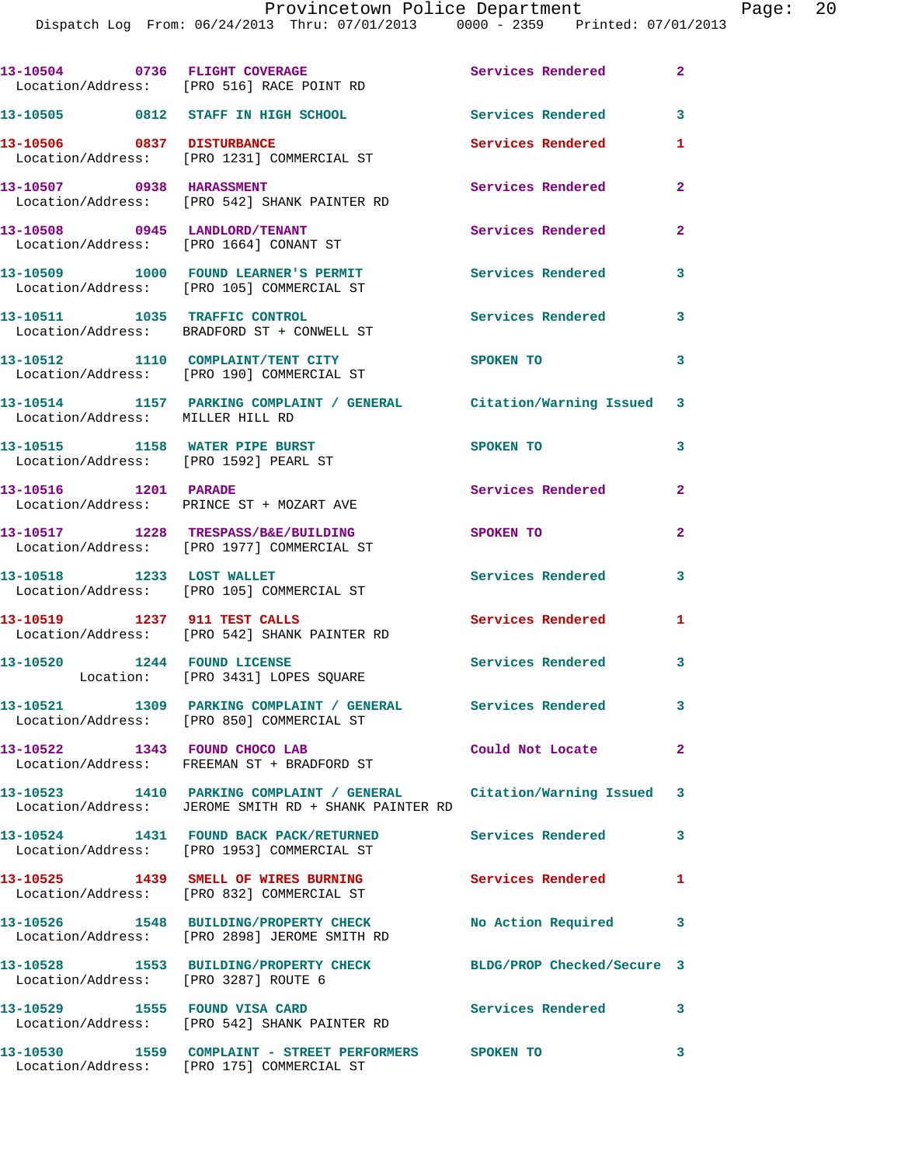|                                       | Dispatch Log From: 06/24/2013 Thru: 07/01/2013 0000 - 2359 Printed: 07/01/2013                                              | Provincetown Police Department |              | Page: 20 |  |
|---------------------------------------|-----------------------------------------------------------------------------------------------------------------------------|--------------------------------|--------------|----------|--|
|                                       |                                                                                                                             |                                |              |          |  |
|                                       | 13-10504 0736 FLIGHT COVERAGE<br>Location/Address: [PRO 516] RACE POINT RD                                                  | Services Rendered 2            |              |          |  |
|                                       | 13-10505 0812 STAFF IN HIGH SCHOOL Services Rendered 3                                                                      |                                |              |          |  |
|                                       | 13-10506 0837 DISTURBANCE<br>Location/Address: [PRO 1231] COMMERCIAL ST                                                     | <b>Services Rendered</b>       | 1            |          |  |
|                                       |                                                                                                                             | Services Rendered 2            |              |          |  |
|                                       | 13-10508 0945 LANDLORD/TENANT<br>Location/Address: [PRO 1664] CONANT ST                                                     | Services Rendered 2            |              |          |  |
|                                       | 13-10509 1000 FOUND LEARNER'S PERMIT Services Rendered<br>Location/Address: [PRO 105] COMMERCIAL ST                         |                                | 3            |          |  |
|                                       | 13-10511 1035 TRAFFIC CONTROL<br>Location/Address: BRADFORD ST + CONWELL ST                                                 | Services Rendered 3            |              |          |  |
|                                       | 13-10512 1110 COMPLAINT/TENT CITY 5POKEN TO<br>Location/Address: [PRO 190] COMMERCIAL ST                                    |                                | 3            |          |  |
| Location/Address: MILLER HILL RD      | 13-10514 1157 PARKING COMPLAINT / GENERAL Citation/Warning Issued 3                                                         |                                |              |          |  |
| Location/Address: [PRO 1592] PEARL ST | 13-10515 1158 WATER PIPE BURST                                                                                              | SPOKEN TO                      | 3            |          |  |
| 13-10516 1201 PARADE                  | Location/Address: PRINCE ST + MOZART AVE                                                                                    | Services Rendered 2            |              |          |  |
|                                       | 13-10517 1228 TRESPASS/B&E/BUILDING<br>Location/Address: [PRO 1977] COMMERCIAL ST                                           | SPOKEN TO                      | $\mathbf{2}$ |          |  |
| 13-10518 1233 LOST WALLET             | Location/Address: [PRO 105] COMMERCIAL ST                                                                                   | Services Rendered 3            |              |          |  |
|                                       | 13-10519 1237 911 TEST CALLS<br>Location/Address: [PRO 542] SHANK PAINTER RD                                                | Services Rendered 1            |              |          |  |
|                                       | 13-10520 1244 FOUND LICENSE 2000 Services Rendered<br>Location: [PRO 3431] LOPES SQUARE                                     |                                |              |          |  |
|                                       | 13-10521 1309 PARKING COMPLAINT / GENERAL Services Rendered 3<br>Location/Address: [PRO 850] COMMERCIAL ST                  |                                |              |          |  |
|                                       | 13-10522 1343 FOUND CHOCO LAB<br>Location/Address: FREEMAN ST + BRADFORD ST                                                 | Could Not Locate               | $\mathbf{2}$ |          |  |
|                                       | 13-10523 1410 PARKING COMPLAINT / GENERAL Citation/Warning Issued 3<br>Location/Address: JEROME SMITH RD + SHANK PAINTER RD |                                |              |          |  |
|                                       | 13-10524 1431 FOUND BACK PACK/RETURNED Services Rendered 3<br>Location/Address: [PRO 1953] COMMERCIAL ST                    |                                |              |          |  |
|                                       | 13-10525 1439 SMELL OF WIRES BURNING Services Rendered<br>Location/Address: [PRO 832] COMMERCIAL ST                         |                                | 1            |          |  |
|                                       | 13-10526 1548 BUILDING/PROPERTY CHECK No Action Required 3<br>Location/Address: [PRO 2898] JEROME SMITH RD                  |                                |              |          |  |
| Location/Address: [PRO 3287] ROUTE 6  | 13-10528 1553 BUILDING/PROPERTY CHECK BLDG/PROP Checked/Secure 3                                                            |                                |              |          |  |
|                                       | 13-10529 1555 FOUND VISA CARD 13 Services Rendered 3<br>Location/Address: [PRO 542] SHANK PAINTER RD                        |                                |              |          |  |
|                                       | 13-10530   1559   COMPLAINT - STREET PERFORMERS   SPOKEN TO<br>Location/Address: [PRO 175]   COMMERCIAL ST                  |                                | 3            |          |  |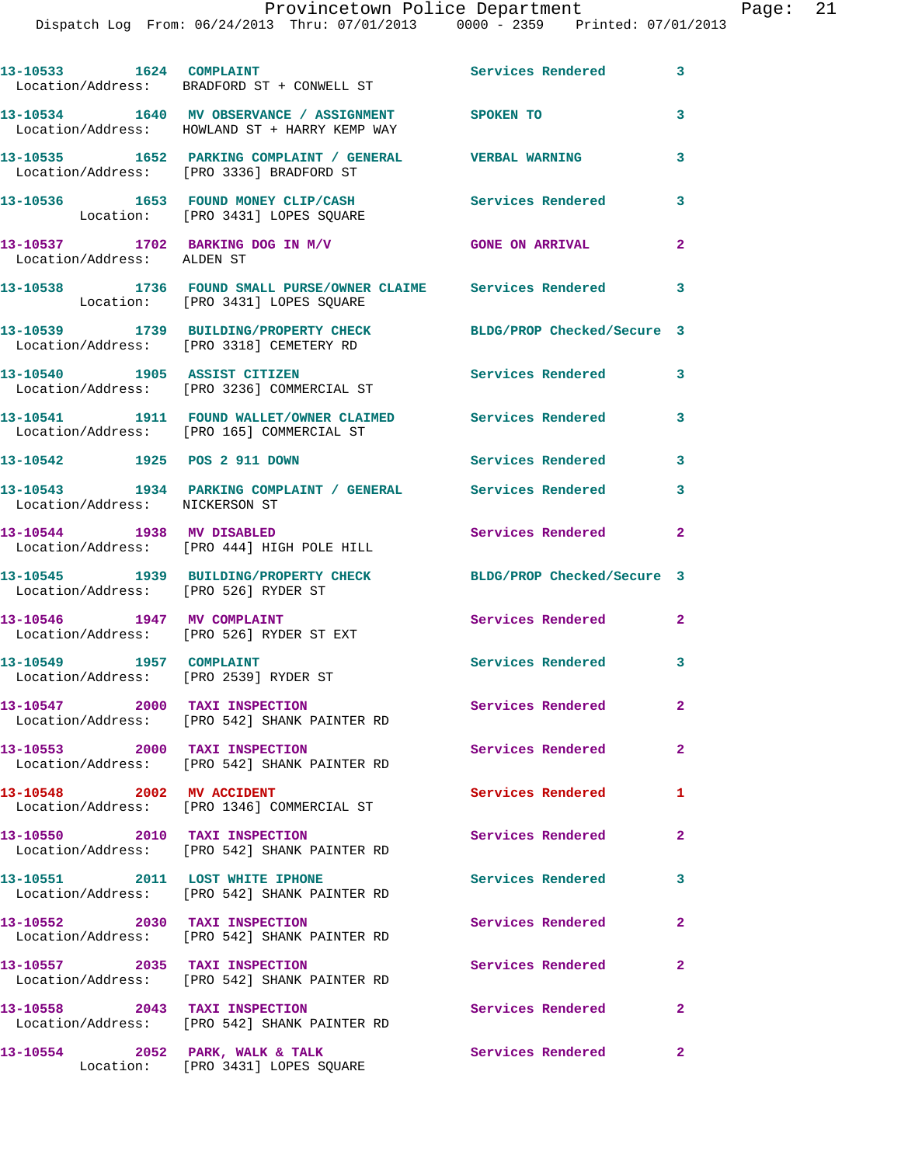Dispatch Log From: 06/24/2013 Thru: 07/01/2013 0000 - 2359 Printed: 07/01/2013

| 13-10533 1624 COMPLAINT              | Location/Address: BRADFORD ST + CONWELL ST                                                              | Services Rendered 3        |                            |
|--------------------------------------|---------------------------------------------------------------------------------------------------------|----------------------------|----------------------------|
|                                      | 13-10534 1640 MV OBSERVANCE / ASSIGNMENT SPOKEN TO<br>Location/Address: HOWLAND ST + HARRY KEMP WAY     |                            | 3                          |
|                                      | 13-10535 1652 PARKING COMPLAINT / GENERAL WERBAL WARNING<br>Location/Address: [PRO 3336] BRADFORD ST    |                            | 3                          |
|                                      | 13-10536 1653 FOUND MONEY CLIP/CASH<br>Location: [PRO 3431] LOPES SQUARE                                | <b>Services Rendered</b>   | 3                          |
| Location/Address: ALDEN ST           | 13-10537 1702 BARKING DOG IN M/V                                                                        | <b>GONE ON ARRIVAL</b>     | $\mathbf{2}$               |
|                                      | 13-10538 1736 FOUND SMALL PURSE/OWNER CLAIME Services Rendered<br>Location: [PRO 3431] LOPES SQUARE     |                            | 3                          |
|                                      | 13-10539 1739 BUILDING/PROPERTY CHECK<br>Location/Address: [PRO 3318] CEMETERY RD                       | BLDG/PROP Checked/Secure 3 |                            |
|                                      | 13-10540 1905 ASSIST CITIZEN<br>Location/Address: [PRO 3236] COMMERCIAL ST                              | <b>Services Rendered</b>   | 3                          |
|                                      | 13-10541 1911 FOUND WALLET/OWNER CLAIMED Services Rendered<br>Location/Address: [PRO 165] COMMERCIAL ST |                            | 3                          |
| 13-10542 1925 POS 2 911 DOWN         |                                                                                                         | <b>Services Rendered</b>   | $\overline{\phantom{a}}$ 3 |
| Location/Address: NICKERSON ST       | 13-10543 1934 PARKING COMPLAINT / GENERAL Services Rendered                                             |                            | 3                          |
| 13-10544 1938 MV DISABLED            | Location/Address: [PRO 444] HIGH POLE HILL                                                              | Services Rendered          | $\overline{2}$             |
| Location/Address: [PRO 526] RYDER ST | 13-10545 1939 BUILDING/PROPERTY CHECK                                                                   | BLDG/PROP Checked/Secure 3 |                            |
|                                      | 13-10546 1947 MV COMPLAINT<br>Location/Address: [PRO 526] RYDER ST EXT                                  | Services Rendered 2        |                            |
| 13-10549    1957    COMPLAINT        | Location/Address: [PRO 2539] RYDER ST                                                                   | <b>Services Rendered</b>   | 3                          |
| 13-10547 2000 TAXI INSPECTION        | Location/Address: [PRO 542] SHANK PAINTER RD                                                            | Services Rendered          | $\mathbf{2}$               |
| 13-10553 2000 TAXI INSPECTION        | Location/Address: [PRO 542] SHANK PAINTER RD                                                            | Services Rendered          | $\overline{2}$             |
| 13-10548 2002 MV ACCIDENT            | Location/Address: [PRO 1346] COMMERCIAL ST                                                              | <b>Services Rendered</b>   | 1                          |
| 13-10550 2010 TAXI INSPECTION        | Location/Address: [PRO 542] SHANK PAINTER RD                                                            | Services Rendered          | $\mathbf{2}$               |
| 13-10551 2011 LOST WHITE IPHONE      | Location/Address: [PRO 542] SHANK PAINTER RD                                                            | Services Rendered          | 3                          |
| 13-10552 2030 TAXI INSPECTION        | Location/Address: [PRO 542] SHANK PAINTER RD                                                            | Services Rendered          | $\overline{2}$             |
| 13-10557 2035 TAXI INSPECTION        | Location/Address: [PRO 542] SHANK PAINTER RD                                                            | Services Rendered          | $\overline{2}$             |
| 13-10558 2043 TAXI INSPECTION        | Location/Address: [PRO 542] SHANK PAINTER RD                                                            | Services Rendered          | $\mathbf{2}$               |
| 13-10554 2052 PARK, WALK & TALK      | Location: [PRO 3431] LOPES SQUARE                                                                       | Services Rendered 2        |                            |